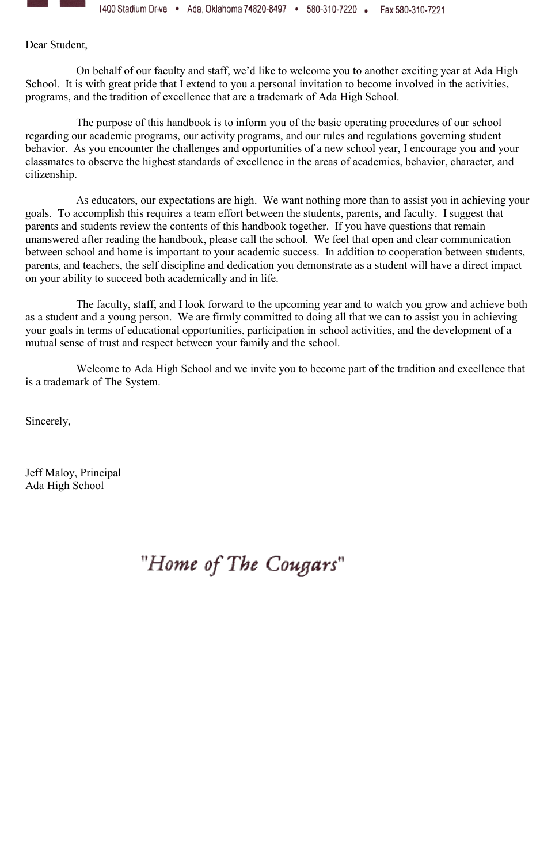

Dear Student,

On behalf of our faculty and staff, we'd like to welcome you to another exciting year at Ada High School. It is with great pride that I extend to you a personal invitation to become involved in the activities, programs, and the tradition of excellence that are a trademark of Ada High School.

The purpose of this handbook is to inform you of the basic operating procedures of our school regarding our academic programs, our activity programs, and our rules and regulations governing student behavior. As you encounter the challenges and opportunities of a new school year, I encourage you and your classmates to observe the highest standards of excellence in the areas of academics, behavior, character, and citizenship.

As educators, our expectations are high. We want nothing more than to assist you in achieving your goals. To accomplish this requires a team effort between the students, parents, and faculty. I suggest that parents and students review the contents of this handbook together. If you have questions that remain unanswered after reading the handbook, please call the school. We feel that open and clear communication between school and home is important to your academic success. In addition to cooperation between students, parents, and teachers, the self discipline and dedication you demonstrate as a student will have a direct impact on your ability to succeed both academically and in life.

The faculty, staff, and I look forward to the upcoming year and to watch you grow and achieve both as a student and a young person. We are firmly committed to doing all that we can to assist you in achieving your goals in terms of educational opportunities, participation in school activities, and the development of a mutual sense of trust and respect between your family and the school.

Welcome to Ada High School and we invite you to become part of the tradition and excellence that is a trademark of The System.

Sincerely,

Jeff Maloy, Principal Ada High School

# "Home of The Cougars"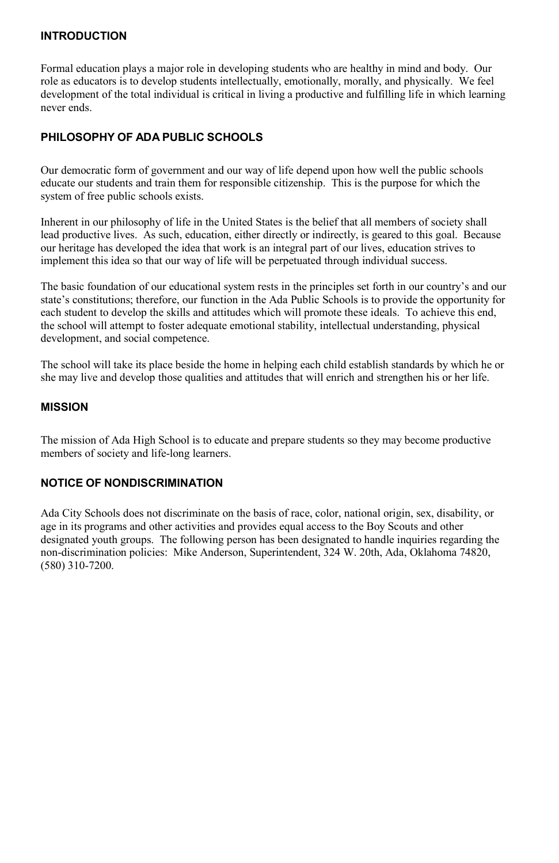## **INTRODUCTION**

Formal education plays a major role in developing students who are healthy in mind and body. Our role as educators is to develop students intellectually, emotionally, morally, and physically. We feel development of the total individual is critical in living a productive and fulfilling life in which learning never ends.

# **PHILOSOPHY OF ADA PUBLIC SCHOOLS**

Our democratic form of government and our way of life depend upon how well the public schools educate our students and train them for responsible citizenship. This is the purpose for which the system of free public schools exists.

Inherent in our philosophy of life in the United States is the belief that all members of society shall lead productive lives. As such, education, either directly or indirectly, is geared to this goal. Because our heritage has developed the idea that work is an integral part of our lives, education strives to implement this idea so that our way of life will be perpetuated through individual success.

The basic foundation of our educational system rests in the principles set forth in our country's and our state's constitutions; therefore, our function in the Ada Public Schools is to provide the opportunity for each student to develop the skills and attitudes which will promote these ideals. To achieve this end, the school will attempt to foster adequate emotional stability, intellectual understanding, physical development, and social competence.

The school will take its place beside the home in helping each child establish standards by which he or she may live and develop those qualities and attitudes that will enrich and strengthen his or her life.

## **MISSION**

The mission of Ada High School is to educate and prepare students so they may become productive members of society and life-long learners.

# **NOTICE OF NONDISCRIMINATION**

Ada City Schools does not discriminate on the basis of race, color, national origin, sex, disability, or age in its programs and other activities and provides equal access to the Boy Scouts and other designated youth groups. The following person has been designated to handle inquiries regarding the non-discrimination policies: Mike Anderson, Superintendent, 324 W. 20th, Ada, Oklahoma 74820, (580) 310-7200.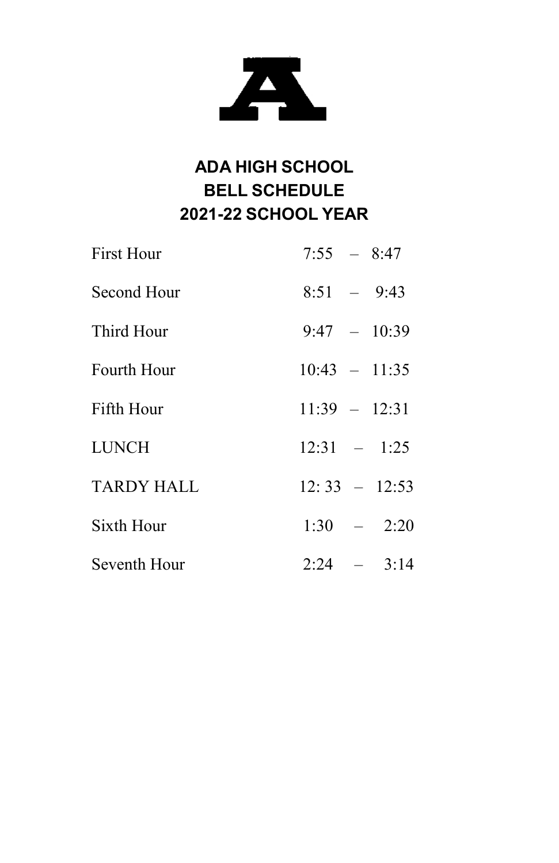

# **ADA HIGH SCHOOL BELL SCHEDULE 2021-22 SCHOOL YEAR**

| <b>First Hour</b>  | $7:55 - 8:47$   |                 |
|--------------------|-----------------|-----------------|
| Second Hour        | $8:51 - 9:43$   |                 |
| Third Hour         |                 | $9:47 - 10:39$  |
| <b>Fourth Hour</b> | $10:43 - 11:35$ |                 |
| Fifth Hour         | $11:39 - 12:31$ |                 |
| <b>LUNCH</b>       |                 | $12:31 - 1:25$  |
| <b>TARDY HALL</b>  |                 | $12:33 - 12:53$ |
| Sixth Hour         |                 | $1:30 - 2:20$   |
| Seventh Hour       |                 | $2:24 - 3:14$   |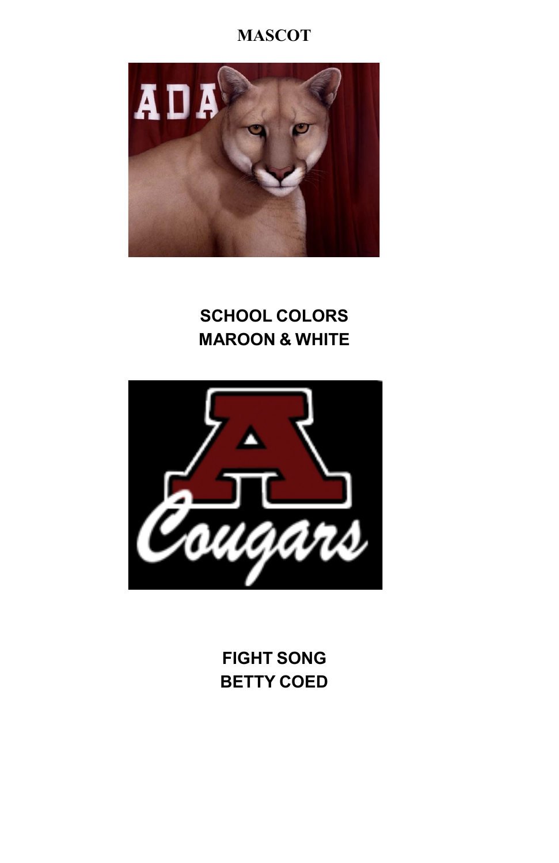# **MASCOT**



# **SCHOOL COLORS MAROON & WHITE**



**FIGHT SONG BETTY COED**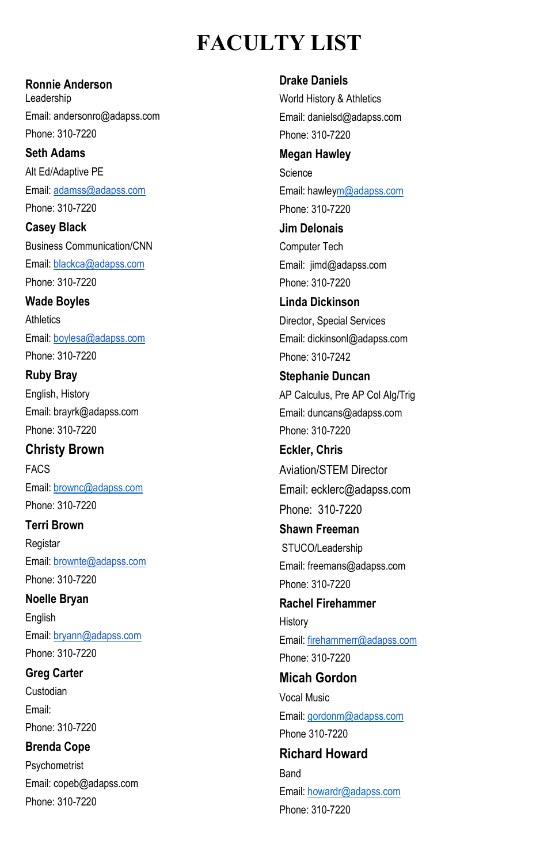# **FACULTY LIST**

**Ronnie Anderson** Leadership Email: andersonro@adapss.com Phone: 310-7220

**Seth Adams** Alt Ed/Adaptive PE Email[: adamss@adapss.com](mailto:adamss@adapss.com) Phone: 310-7220

**Casey Black** Business Communication/CNN Email[: blackca@adapss.com](mailto:blackca@adapss.com) Phone: 310-7220

**Wade Boyles Athletics** Email[: boylesa@adapss.com](mailto:boylesa@adapss.com) Phone: 310-7220

**Ruby Bray** English, History Email: brayrk@adapss.com Phone: 310-7220

**Christy Brown** FACS Email[: brownc@adapss.com](mailto:brownc@adapss.com) Phone: 310-7220

**Terri Brown Registar** Email[: brownte@adapss.com](mailto:brownte@adapss.com) Phone: 310-7220

**Noelle Bryan** English Email[: bryann@adapss.com](mailto:bryann@adapss.com) Phone: 310-7220

**Greg Carter** Custodian Email: Phone: 310-7220

**Brenda Cope** Psychometrist Email: copeb@adapss.com Phone: 310-7220

**Drake Daniels** World History & Athletics Email: danielsd@adapss.com Phone: 310-7220

**Megan Hawley Science** Email: hawle[ym@adapss.com](mailto:davenportm@adapss.com) Phone: 310-7220

**Jim Delonais** Computer Tech Email: jimd@adapss.com Phone: 310-7220

**Linda Dickinson** Director, Special Services Email: dickinsonl@adapss.com Phone: 310-7242

**Stephanie Duncan** AP Calculus, Pre AP Col Alg/Trig Email[: duncans@adapss.com](mailto:duncans@adapss.com) Phone: 310-7220

**Eckler, Chris** Aviation/STEM Director Email: ecklerc@adapss.com Phone: 310-7220

**Shawn Freeman** STUCO/Leadership Email: freemans@adapss.com Phone: 310-7220

**Rachel Firehammer History** Email[: firehammerr@adapss.com](mailto:firehammerr@adapss.com) Phone: 310-7220

**Micah Gordon** Vocal Music Email[: gordonm@adapss.com](mailto:gordonm@adapss.com) Phone 310-7220

**Richard Howard Band** Email[: howardr@adapss.com](mailto:howardr@adapss.com) Phone: 310-7220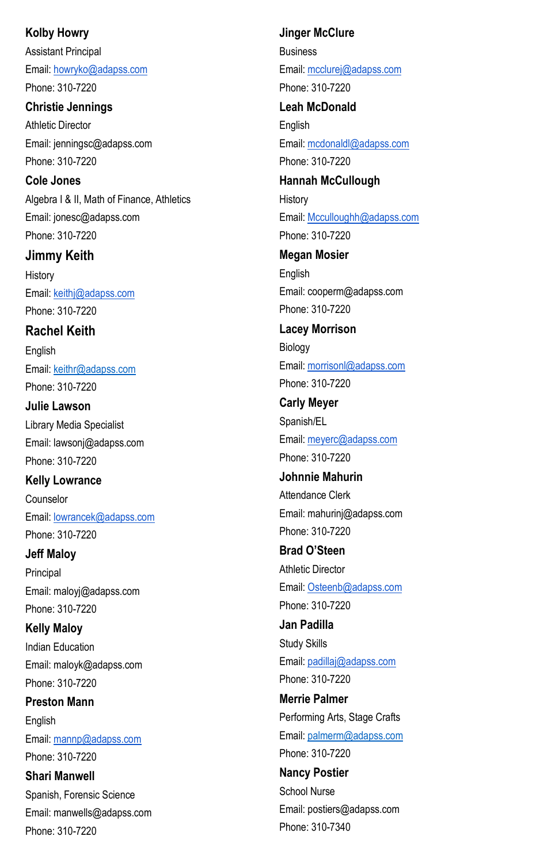**Kolby Howry** Assistant Principal Email[: howryko@adapss.com](mailto:howryko@adapss.com) Phone: 310-7220

**Christie Jennings** Athletic Director Email: jenningsc@adapss.com Phone: 310-7220

**Cole Jones** Algebra I & II, Math of Finance, Athletics Email: jonesc@adapss.com Phone: 310-7220

**Jimmy Keith** History Email[: keithj@adapss.com](mailto:keithj@adapss.com) Phone: 310-7220

English Email[: keithr@adapss.com](mailto:keithr@adapss.com) Phone: 310-7220

**Rachel Keith**

**Julie Lawson** Library Media Specialist Email: lawsonj@adapss.com Phone: 310-7220

**Kelly Lowrance**

Counselor Email[: lowrancek@adapss.com](mailto:lowrancek@adapss.com) Phone: 310-7220

**Jeff Maloy** Principal Email: maloyj@adapss.com Phone: 310-7220

**Kelly Maloy** Indian Education Email: maloyk@adapss.com Phone: 310-7220

**Preston Mann English** Email[: mannp@adapss.com](mailto:mannp@adapss.com) Phone: 310-7220

**Shari Manwell** Spanish, Forensic Science Email: manwells@adapss.com Phone: 310-7220

**Jinger McClure** Business Email[: mcclurej@adapss.com](mailto:mcclurej@adapss.com) Phone: 310-7220 **Leah McDonald**

English Email[: mcdonaldl@adapss.com](mailto:mcdonaldl@adapss.com) Phone: 310-7220

**Hannah McCullough History** Email[: Mcculloughh@adapss.com](mailto:Mcculloughh@adapss.com) Phone: 310-7220

**Megan Mosier** English Email: cooperm@adapss.com Phone: 310-7220

**Lacey Morrison** Biology Email[: morrisonl@adapss.com](mailto:morrisonl@adapss.com) Phone: 310-7220

**Carly Meyer** Spanish/EL Email[: meyerc@adapss.com](mailto:myerc@adapss.com) Phone: 310-7220

**Johnnie Mahurin** Attendance Clerk Email: mahurinj@adapss.com Phone: 310-7220

**Brad O'Steen** Athletic Director Email[: Osteenb@adapss.com](mailto:Osteenb@adapss.com) Phone: 310-7220

**Jan Padilla** Study Skills Email[: padillaj@adapss.com](mailto:padillaj@adapss.com) Phone: 310-7220

**Merrie Palmer** Performing Arts, Stage Crafts Email[: palmerm@adapss.com](mailto:palmerm@adapss.com) Phone: 310-7220

**Nancy Postier** School Nurse Email: postiers@adapss.com Phone: 310-7340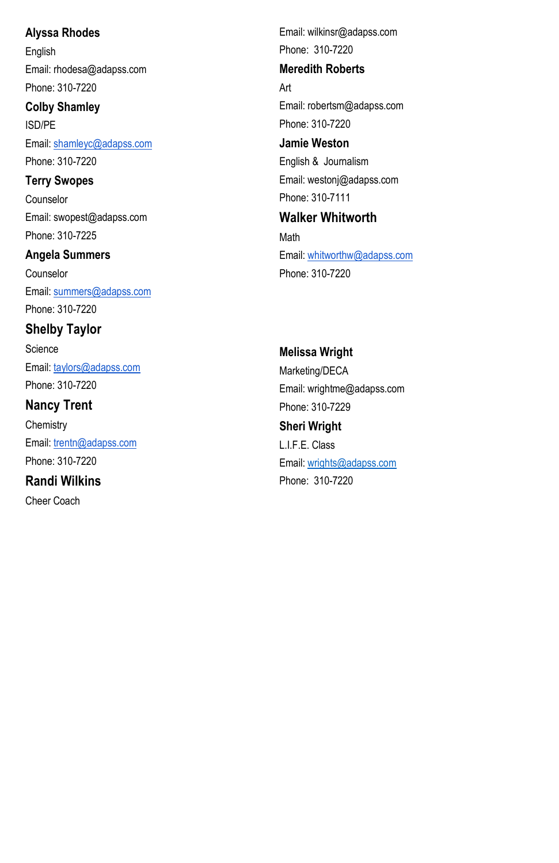# **Alyssa Rhodes**

English Email: rhodesa@adapss.com Phone: 310-7220

**Colby Shamley**  ISD/PE

Email[: shamleyc@adapss.com](mailto:shamleyc@adapss.com) Phone: 310-7220

# **Terry Swopes**

Counselor Email: swopest@adapss.com Phone: 310-7225

# **Angela Summers**

Counselor Email[: summers@adapss.com](mailto:summers@adapss.com) Phone: 310-7220

# **Shelby Taylor**

Science Email[: taylors@adapss.com](mailto:taylors@adapss.com) Phone: 310-7220

# **Nancy Trent**

**Chemistry** Email[: trentn@adapss.com](mailto:trentn@adapss.com) Phone: 310-7220

# **Randi Wilkins**

Cheer Coach

Email: wilkinsr@adapss.com Phone: 310-7220

# **Meredith Roberts**

Art Email: robertsm@adapss.com Phone: 310-7220

# **Jamie Weston** English & Journalism

Email: westonj@adapss.com Phone: 310-7111

**Walker Whitworth** Math Email[: whitworthw@adapss.com](mailto:whitworthw@adapss.com) Phone: 310-7220

**Melissa Wright** Marketing/DECA Email: wrightme@adapss.com Phone: 310-7229

# **Sheri Wright** L.I.F.E. Class Email[: wrights@adapss.com](mailto:wrights@adapss.com) Phone: 310-7220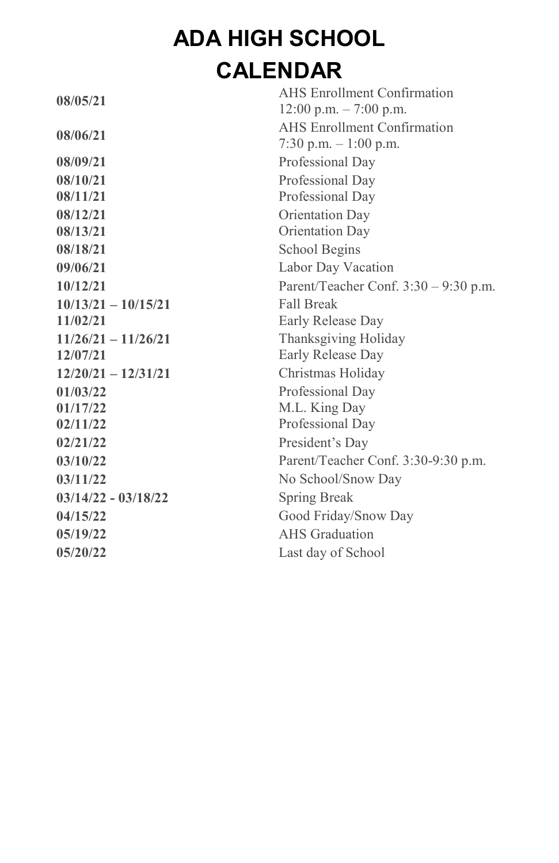# **ADA HIGH SCHOOL CALENDAR**

| 08/05/21              | AHS Enrollment Confirmation<br>12:00 p.m. $-7:00$ p.m. |
|-----------------------|--------------------------------------------------------|
| 08/06/21              | AHS Enrollment Confirmation<br>7:30 p.m. $-1:00$ p.m.  |
| 08/09/21              | Professional Day                                       |
| 08/10/21              | Professional Day                                       |
| 08/11/21              | Professional Day                                       |
| 08/12/21              | Orientation Day                                        |
| 08/13/21              | Orientation Day                                        |
| 08/18/21              | School Begins                                          |
| 09/06/21              | Labor Day Vacation                                     |
| 10/12/21              | Parent/Teacher Conf. 3:30 - 9:30 p.m.                  |
| $10/13/21 - 10/15/21$ | <b>Fall Break</b>                                      |
| 11/02/21              | Early Release Day                                      |
| $11/26/21 - 11/26/21$ | Thanksgiving Holiday                                   |
| 12/07/21              | Early Release Day                                      |
| $12/20/21 - 12/31/21$ | Christmas Holiday                                      |
| 01/03/22              | Professional Day                                       |
| 01/17/22              | M.L. King Day                                          |
| 02/11/22              | Professional Day                                       |
| 02/21/22              | President's Day                                        |
| 03/10/22              | Parent/Teacher Conf. 3:30-9:30 p.m.                    |
| 03/11/22              | No School/Snow Day                                     |
| $03/14/22 - 03/18/22$ | Spring Break                                           |
| 04/15/22              | Good Friday/Snow Day                                   |
| 05/19/22              | AHS Graduation                                         |
| 05/20/22              | Last day of School                                     |
|                       |                                                        |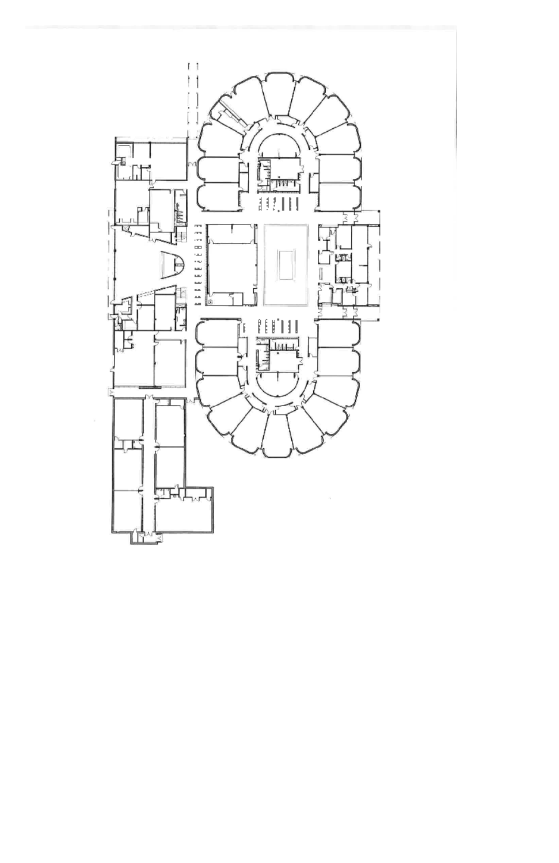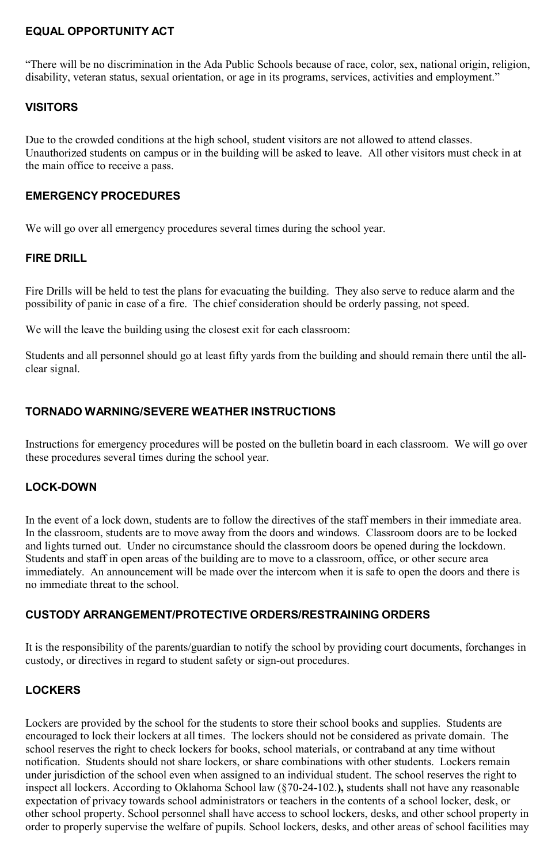# **EQUAL OPPORTUNITY ACT**

"There will be no discrimination in the Ada Public Schools because of race, color, sex, national origin, religion, disability, veteran status, sexual orientation, or age in its programs, services, activities and employment."

## **VISITORS**

Due to the crowded conditions at the high school, student visitors are not allowed to attend classes. Unauthorized students on campus or in the building will be asked to leave. All other visitors must check in at the main office to receive a pass.

## **EMERGENCY PROCEDURES**

We will go over all emergency procedures several times during the school year.

## **FIRE DRILL**

Fire Drills will be held to test the plans for evacuating the building. They also serve to reduce alarm and the possibility of panic in case of a fire. The chief consideration should be orderly passing, not speed.

We will the leave the building using the closest exit for each classroom:

Students and all personnel should go at least fifty yards from the building and should remain there until the allclear signal.

## **TORNADO WARNING/SEVERE WEATHER INSTRUCTIONS**

Instructions for emergency procedures will be posted on the bulletin board in each classroom. We will go over these procedures several times during the school year.

## **LOCK-DOWN**

In the event of a lock down, students are to follow the directives of the staff members in their immediate area. In the classroom, students are to move away from the doors and windows. Classroom doors are to be locked and lights turned out. Under no circumstance should the classroom doors be opened during the lockdown. Students and staff in open areas of the building are to move to a classroom, office, or other secure area immediately. An announcement will be made over the intercom when it is safe to open the doors and there is no immediate threat to the school.

# **CUSTODY ARRANGEMENT/PROTECTIVE ORDERS/RESTRAINING ORDERS**

It is the responsibility of the parents/guardian to notify the school by providing court documents, forchanges in custody, or directives in regard to student safety or sign-out procedures.

## **LOCKERS**

Lockers are provided by the school for the students to store their school books and supplies. Students are encouraged to lock their lockers at all times. The lockers should not be considered as private domain. The school reserves the right to check lockers for books, school materials, or contraband at any time without notification. Students should not share lockers, or share combinations with other students. Lockers remain under jurisdiction of the school even when assigned to an individual student. The school reserves the right to inspect all lockers. According to Oklahoma School law (§70-24-102.**),** students shall not have any reasonable expectation of privacy towards school administrators or teachers in the contents of a school locker, desk, or other school property. School personnel shall have access to school lockers, desks, and other school property in order to properly supervise the welfare of pupils. School lockers, desks, and other areas of school facilities may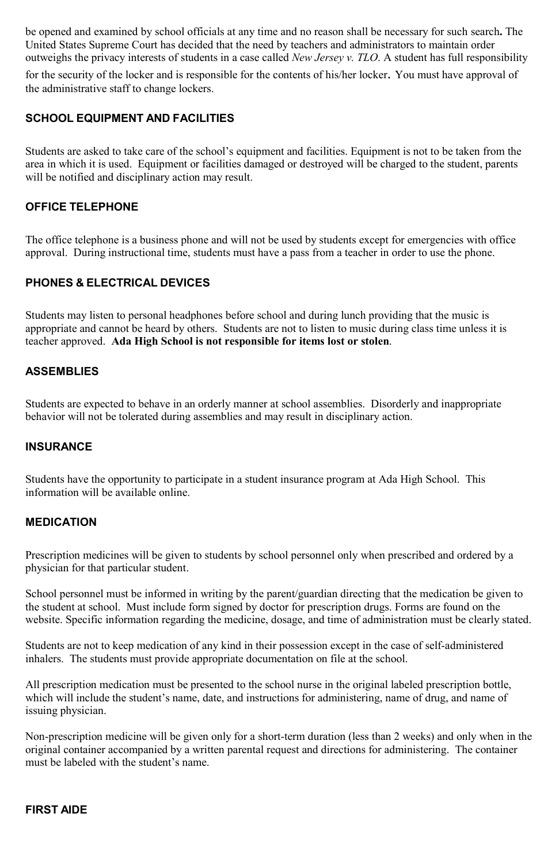be opened and examined by school officials at any time and no reason shall be necessary for such search**.** The United States Supreme Court has decided that the need by teachers and administrators to maintain order outweighs the privacy interests of students in a case called *New Jersey v. TLO*. A student has full responsibility

for the security of the locker and is responsible for the contents of his/her locker. You must have approval of the administrative staff to change lockers.

## **SCHOOL EQUIPMENT AND FACILITIES**

Students are asked to take care of the school's equipment and facilities. Equipment is not to be taken from the area in which it is used. Equipment or facilities damaged or destroyed will be charged to the student, parents will be notified and disciplinary action may result.

## **OFFICE TELEPHONE**

The office telephone is a business phone and will not be used by students except for emergencies with office approval. During instructional time, students must have a pass from a teacher in order to use the phone.

## **PHONES & ELECTRICAL DEVICES**

Students may listen to personal headphones before school and during lunch providing that the music is appropriate and cannot be heard by others. Students are not to listen to music during class time unless it is teacher approved. **Ada High School is not responsible for items lost or stolen**.

## **ASSEMBLIES**

Students are expected to behave in an orderly manner at school assemblies. Disorderly and inappropriate behavior will not be tolerated during assemblies and may result in disciplinary action.

## **INSURANCE**

Students have the opportunity to participate in a student insurance program at Ada High School. This information will be available online.

## **MEDICATION**

Prescription medicines will be given to students by school personnel only when prescribed and ordered by a physician for that particular student.

School personnel must be informed in writing by the parent/guardian directing that the medication be given to the student at school. Must include form signed by doctor for prescription drugs. Forms are found on the website. Specific information regarding the medicine, dosage, and time of administration must be clearly stated.

Students are not to keep medication of any kind in their possession except in the case of self-administered inhalers. The students must provide appropriate documentation on file at the school.

All prescription medication must be presented to the school nurse in the original labeled prescription bottle, which will include the student's name, date, and instructions for administering, name of drug, and name of issuing physician.

Non-prescription medicine will be given only for a short-term duration (less than 2 weeks) and only when in the original container accompanied by a written parental request and directions for administering. The container must be labeled with the student's name.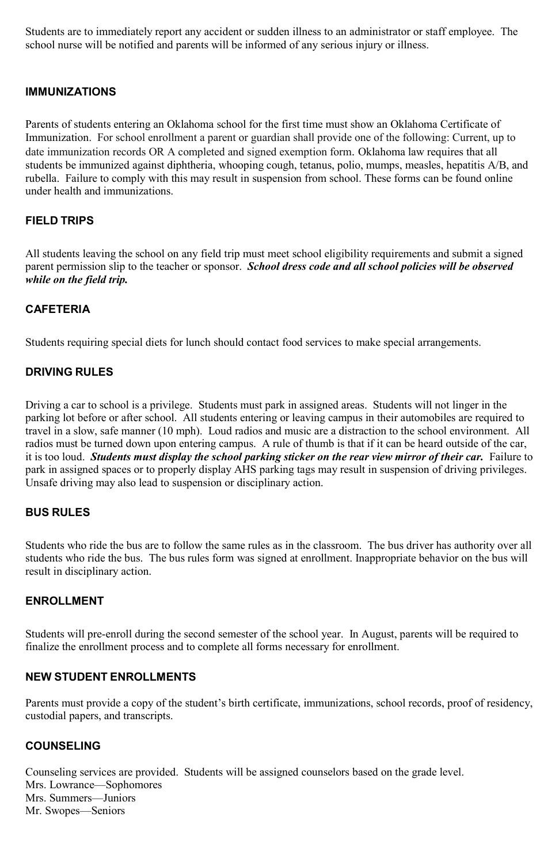Students are to immediately report any accident or sudden illness to an administrator or staff employee. The school nurse will be notified and parents will be informed of any serious injury or illness.

## **IMMUNIZATIONS**

Parents of students entering an Oklahoma school for the first time must show an Oklahoma Certificate of Immunization. For school enrollment a parent or guardian shall provide one of the following: Current, up to date immunization records OR A completed and signed exemption form. Oklahoma law requires that all students be immunized against diphtheria, whooping cough, tetanus, polio, mumps, measles, hepatitis A/B, and rubella. Failure to comply with this may result in suspension from school. These forms can be found online under health and immunizations.

## **FIELD TRIPS**

All students leaving the school on any field trip must meet school eligibility requirements and submit a signed parent permission slip to the teacher or sponsor. *School dress code and all school policies will be observed while on the field trip.*

# **CAFETERIA**

Students requiring special diets for lunch should contact food services to make special arrangements.

## **DRIVING RULES**

Driving a car to school is a privilege. Students must park in assigned areas. Students will not linger in the parking lot before or after school. All students entering or leaving campus in their automobiles are required to travel in a slow, safe manner (10 mph). Loud radios and music are a distraction to the school environment. All radios must be turned down upon entering campus. A rule of thumb is that if it can be heard outside of the car, it is too loud. *Students must display the school parking sticker on the rear view mirror of their car.* Failure to park in assigned spaces or to properly display AHS parking tags may result in suspension of driving privileges. Unsafe driving may also lead to suspension or disciplinary action.

## **BUS RULES**

Students who ride the bus are to follow the same rules as in the classroom. The bus driver has authority over all students who ride the bus. The bus rules form was signed at enrollment. Inappropriate behavior on the bus will result in disciplinary action.

## **ENROLLMENT**

Students will pre-enroll during the second semester of the school year. In August, parents will be required to finalize the enrollment process and to complete all forms necessary for enrollment.

## **NEW STUDENT ENROLLMENTS**

Parents must provide a copy of the student's birth certificate, immunizations, school records, proof of residency, custodial papers, and transcripts.

## **COUNSELING**

Counseling services are provided. Students will be assigned counselors based on the grade level. Mrs. Lowrance—Sophomores Mrs. Summers—Juniors Mr. Swopes—Seniors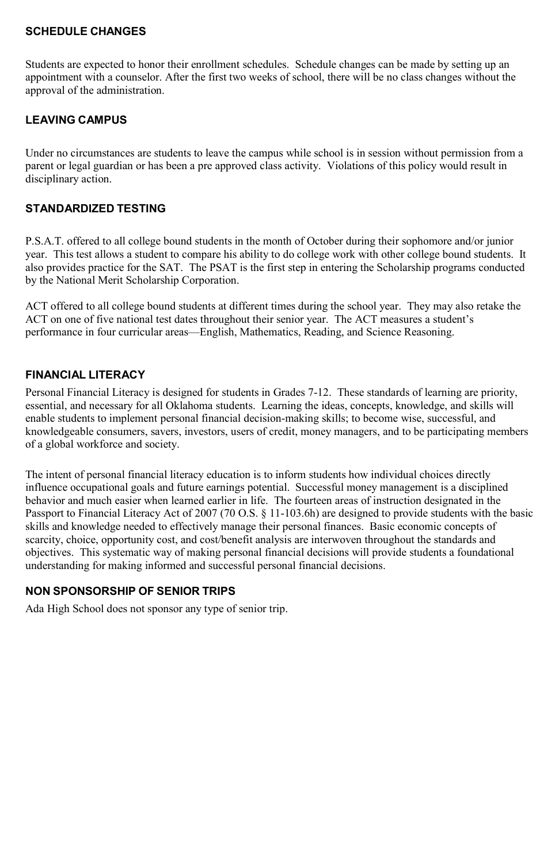## **SCHEDULE CHANGES**

Students are expected to honor their enrollment schedules. Schedule changes can be made by setting up an appointment with a counselor. After the first two weeks of school, there will be no class changes without the approval of the administration.

# **LEAVING CAMPUS**

Under no circumstances are students to leave the campus while school is in session without permission from a parent or legal guardian or has been a pre approved class activity. Violations of this policy would result in disciplinary action.

# **STANDARDIZED TESTING**

P.S.A.T. offered to all college bound students in the month of October during their sophomore and/or junior year. This test allows a student to compare his ability to do college work with other college bound students. It also provides practice for the SAT. The PSAT is the first step in entering the Scholarship programs conducted by the National Merit Scholarship Corporation.

ACT offered to all college bound students at different times during the school year. They may also retake the ACT on one of five national test dates throughout their senior year. The ACT measures a student's performance in four curricular areas—English, Mathematics, Reading, and Science Reasoning.

## **FINANCIAL LITERACY**

Personal Financial Literacy is designed for students in Grades 7-12. These standards of learning are priority, essential, and necessary for all Oklahoma students. Learning the ideas, concepts, knowledge, and skills will enable students to implement personal financial decision-making skills; to become wise, successful, and knowledgeable consumers, savers, investors, users of credit, money managers, and to be participating members of a global workforce and society.

The intent of personal financial literacy education is to inform students how individual choices directly influence occupational goals and future earnings potential. Successful money management is a disciplined behavior and much easier when learned earlier in life. The fourteen areas of instruction designated in the Passport to Financial Literacy Act of 2007 (70 O.S. § 11-103.6h) are designed to provide students with the basic skills and knowledge needed to effectively manage their personal finances. Basic economic concepts of scarcity, choice, opportunity cost, and cost/benefit analysis are interwoven throughout the standards and objectives. This systematic way of making personal financial decisions will provide students a foundational understanding for making informed and successful personal financial decisions.

## **NON SPONSORSHIP OF SENIOR TRIPS**

Ada High School does not sponsor any type of senior trip.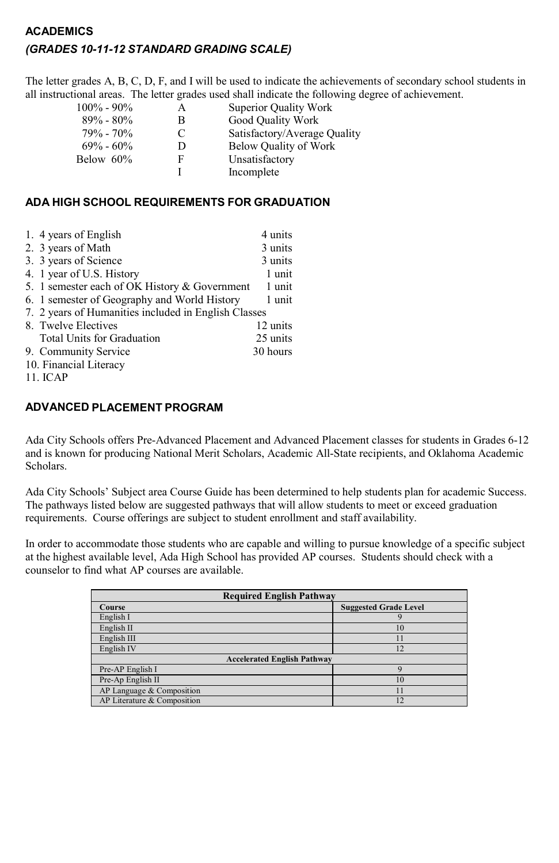# **ACADEMICS** *(GRADES 10-11-12 STANDARD GRADING SCALE)*

The letter grades A, B, C, D, F, and I will be used to indicate the achievements of secondary school students in all instructional areas. The letter grades used shall indicate the following degree of achievement.

| A | <b>Superior Quality Work</b> |
|---|------------------------------|
| В | Good Quality Work            |
| C | Satisfactory/Average Quality |
| Ð | Below Quality of Work        |
| F | Unsatisfactory               |
|   | Incomplete                   |
|   |                              |

# **ADA HIGH SCHOOL REQUIREMENTS FOR GRADUATION**

| 1. 4 years of English                                | 4 units  |
|------------------------------------------------------|----------|
| 2. 3 years of Math                                   | 3 units  |
| 3. 3 years of Science                                | 3 units  |
| 4. 1 year of U.S. History                            | 1 unit   |
| 5. 1 semester each of OK History & Government 1 unit |          |
| 6. 1 semester of Geography and World History         | 1 unit   |
| 7. 2 years of Humanities included in English Classes |          |
| 8. Twelve Electives                                  | 12 units |
| Total Units for Graduation                           | 25 units |
| 9. Community Service                                 | 30 hours |
| 10. Financial Literacy                               |          |
| 11.~ICAP                                             |          |
|                                                      |          |

# **ADVANCED PLACEMENT PROGRAM**

Ada City Schools offers Pre-Advanced Placement and Advanced Placement classes for students in Grades 6-12 and is known for producing National Merit Scholars, Academic All-State recipients, and Oklahoma Academic Scholars.

Ada City Schools' Subject area Course Guide has been determined to help students plan for academic Success. The pathways listed below are suggested pathways that will allow students to meet or exceed graduation requirements. Course offerings are subject to student enrollment and staff availability.

In order to accommodate those students who are capable and willing to pursue knowledge of a specific subject at the highest available level, Ada High School has provided AP courses. Students should check with a counselor to find what AP courses are available.

| <b>Required English Pathway</b>    |                              |  |
|------------------------------------|------------------------------|--|
| Course                             | <b>Suggested Grade Level</b> |  |
| English I                          |                              |  |
| English II                         | 10                           |  |
| English III                        |                              |  |
| English IV                         | 12                           |  |
| <b>Accelerated English Pathway</b> |                              |  |
| Pre-AP English I                   |                              |  |
| Pre-Ap English II                  | 10                           |  |
| AP Language & Composition          |                              |  |
| AP Literature & Composition        | 12                           |  |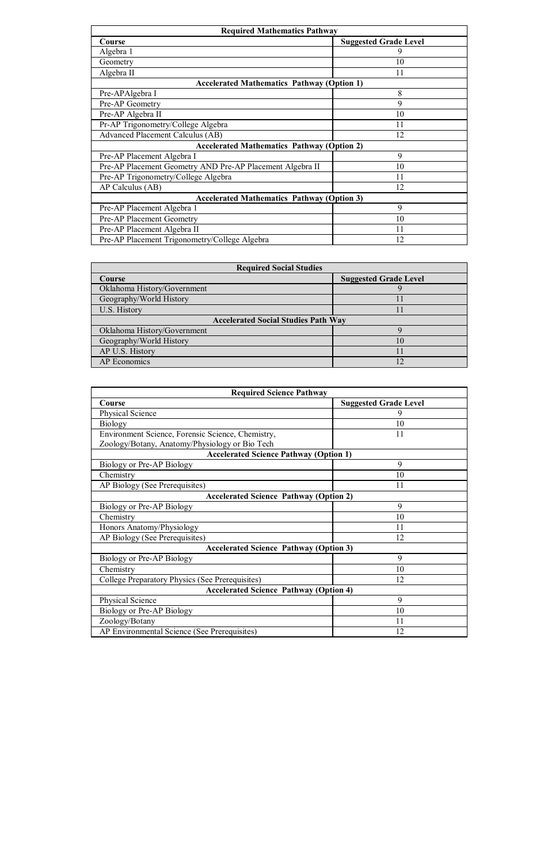| <b>Required Mathematics Pathway</b>                       |                              |  |
|-----------------------------------------------------------|------------------------------|--|
| Course                                                    | <b>Suggested Grade Level</b> |  |
| Algebra 1                                                 |                              |  |
| Geometry                                                  | 10                           |  |
| Algebra II                                                | 11                           |  |
| <b>Accelerated Mathematics Pathway (Option 1)</b>         |                              |  |
| Pre-APAlgebra I                                           | 8                            |  |
| Pre-AP Geometry                                           | 9                            |  |
| Pre-AP Algebra II                                         | 10                           |  |
| Pr-AP Trigonometry/College Algebra                        | 11                           |  |
| Advanced Placement Calculus (AB)                          | 12                           |  |
| <b>Accelerated Mathematics Pathway (Option 2)</b>         |                              |  |
| Pre-AP Placement Algebra I                                | 9                            |  |
| Pre-AP Placement Geometry AND Pre-AP Placement Algebra II | 10                           |  |
| Pre-AP Trigonometry/College Algebra                       | 11                           |  |
| AP Calculus (AB)                                          | 12                           |  |
| <b>Accelerated Mathematics Pathway (Option 3)</b>         |                              |  |
| Pre-AP Placement Algebra 1                                | 9                            |  |
| Pre-AP Placement Geometry                                 | 10                           |  |
| Pre-AP Placement Algebra II                               | 11                           |  |
| Pre-AP Placement Trigonometry/College Algebra             | 12                           |  |

| <b>Required Social Studies</b>             |                              |  |
|--------------------------------------------|------------------------------|--|
| Course                                     | <b>Suggested Grade Level</b> |  |
| Oklahoma History/Government                |                              |  |
| Geography/World History                    |                              |  |
| U.S. History                               |                              |  |
| <b>Accelerated Social Studies Path Way</b> |                              |  |
| Oklahoma History/Government                |                              |  |
| Geography/World History                    | 10                           |  |
| AP U.S. History                            |                              |  |
| AP Economics                               | 12                           |  |

| <b>Required Science Pathway</b>                   |                              |  |
|---------------------------------------------------|------------------------------|--|
| Course                                            | <b>Suggested Grade Level</b> |  |
| Physical Science                                  | 9                            |  |
| Biology                                           | 10                           |  |
| Environment Science, Forensic Science, Chemistry, | 11                           |  |
| Zoology/Botany, Anatomy/Physiology or Bio Tech    |                              |  |
| <b>Accelerated Science Pathway (Option 1)</b>     |                              |  |
| Biology or Pre-AP Biology                         | 9                            |  |
| Chemistry                                         | 10                           |  |
| AP Biology (See Prerequisites)                    | 11                           |  |
| <b>Accelerated Science Pathway (Option 2)</b>     |                              |  |
| Biology or Pre-AP Biology                         | 9                            |  |
| Chemistry                                         | 10                           |  |
| Honors Anatomy/Physiology                         | 11                           |  |
| AP Biology (See Prerequisites)                    | 12                           |  |
| <b>Accelerated Science Pathway (Option 3)</b>     |                              |  |
| Biology or Pre-AP Biology                         | 9                            |  |
| Chemistry                                         | 10                           |  |
| College Preparatory Physics (See Prerequisites)   | 12                           |  |
| <b>Accelerated Science Pathway (Option 4)</b>     |                              |  |
| Physical Science                                  | 9                            |  |
| Biology or Pre-AP Biology                         | 10                           |  |
| Zoology/Botany                                    | 11                           |  |
| AP Environmental Science (See Prerequisites)      | 12                           |  |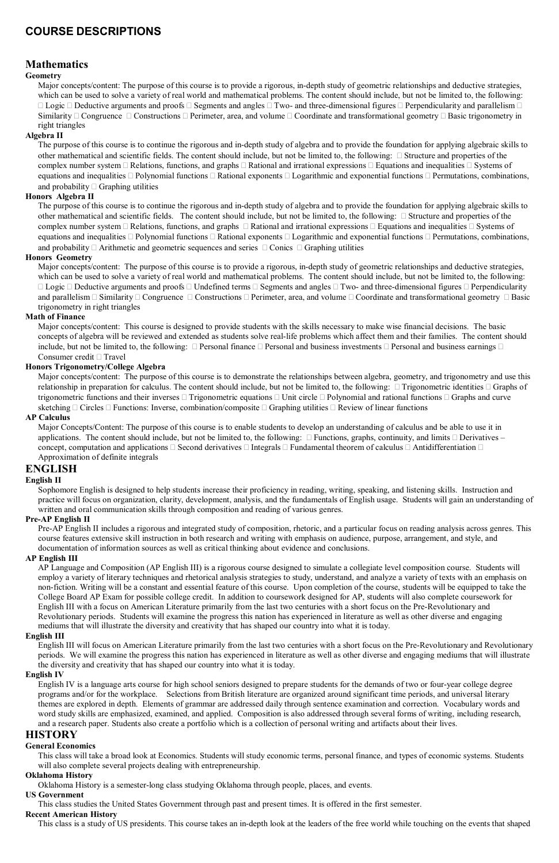# **COURSE DESCRIPTIONS**

## **Mathematics**

## **Geometry**

Major concepts/content: The purpose of this course is to provide a rigorous, in-depth study of geometric relationships and deductive strategies, which can be used to solve a variety of real world and mathematical problems. The content should include, but not be limited to, the following:  $\Box$  Logic  $\Box$  Deductive arguments and proofs  $\Box$  Segments and angles  $\Box$  Two- and three-dimensional figures  $\Box$  Perpendicularity and parallelism  $\Box$ Similarity  $\Box$  Congruence  $\Box$  Constructions  $\Box$  Perimeter, area, and volume  $\Box$  Coordinate and transformational geometry  $\Box$  Basic trigonometry in right triangles

## **Algebra II**

The purpose of this course is to continue the rigorous and in-depth study of algebra and to provide the foundation for applying algebraic skills to other mathematical and scientific fields. The content should include, but not be limited to, the following:  $\Box$  Structure and properties of the complex number system  $\Box$  Relations, functions, and graphs  $\Box$  Rational and irrational expressions  $\Box$  Equations and inequalities  $\Box$  Systems of equations and inequalities  $\Box$  Polynomial functions  $\Box$  Rational exponents  $\Box$  Logarithmic and exponential functions  $\Box$  Permutations, combinations, and probability  $\Box$  Graphing utilities

## **Honors Algebra II**

The purpose of this course is to continue the rigorous and in-depth study of algebra and to provide the foundation for applying algebraic skills to other mathematical and scientific fields. The content should include, but not be limited to, the following:  $\Box$  Structure and properties of the complex number system  $\Box$  Relations, functions, and graphs  $\Box$  Rational and irrational expressions  $\Box$  Equations and inequalities  $\Box$  Systems of equations and inequalities  $\Box$  Polynomial functions  $\Box$  Rational exponents  $\Box$  Logarithmic and exponential functions  $\Box$  Permutations, combinations, and probability  $\Box$  Arithmetic and geometric sequences and series  $\Box$  Conics  $\Box$  Graphing utilities

#### **Honors Geometry**

Major concepts/content: The purpose of this course is to provide a rigorous, in-depth study of geometric relationships and deductive strategies, which can be used to solve a variety of real world and mathematical problems. The content should include, but not be limited to, the following:  $\Box$  Logic  $\Box$  Deductive arguments and proofs  $\Box$  Undefined terms  $\Box$  Segments and angles  $\Box$  Two- and three-dimensional figures  $\Box$  Perpendicularity and parallelism  $\Box$  Similarity  $\Box$  Congruence  $\Box$  Constructions  $\Box$  Perimeter, area, and volume  $\Box$  Coordinate and transformational geometry  $\Box$  Basic trigonometry in right triangles

## **Math of Finance**

Major concepts/content: This course is designed to provide students with the skills necessary to make wise financial decisions. The basic concepts of algebra will be reviewed and extended as students solve real-life problems which affect them and their families. The content should include, but not be limited to, the following:  $\Box$  Personal finance  $\Box$  Personal and business investments  $\Box$  Personal and business earnings  $\Box$ Consumer credit  $\Box$  Travel

## **Honors Trigonometry/College Algebra**

Major concepts/content: The purpose of this course is to demonstrate the relationships between algebra, geometry, and trigonometry and use this relationship in preparation for calculus. The content should include, but not be limited to, the following: Trigonometric identities Graphs of trigonometric functions and their inverses Trigonometric equations Unit circle Polynomial and rational functions Graphs and curve sketching  $\Box$  Circles  $\Box$  Functions: Inverse, combination/composite  $\Box$  Graphing utilities  $\Box$  Review of linear functions

## **AP Calculus**

Major Concepts/Content: The purpose of this course is to enable students to develop an understanding of calculus and be able to use it in applications. The content should include, but not be limited to, the following:  $\Box$  Functions, graphs, continuity, and limits  $\Box$  Derivatives – concept, computation and applications  $\Box$  Second derivatives  $\Box$  Integrals  $\Box$  Fundamental theorem of calculus  $\Box$  Antidifferentiation  $\Box$ Approximation of definite integrals

#### **ENGLISH**

#### **English II**

Sophomore English is designed to help students increase their proficiency in reading, writing, speaking, and listening skills. Instruction and practice will focus on organization, clarity, development, analysis, and the fundamentals of English usage. Students will gain an understanding of written and oral communication skills through composition and reading of various genres.

## **Pre-AP English II**

Pre-AP English II includes a rigorous and integrated study of composition, rhetoric, and a particular focus on reading analysis across genres. This course features extensive skill instruction in both research and writing with emphasis on audience, purpose, arrangement, and style, and documentation of information sources as well as critical thinking about evidence and conclusions.

## **AP English III**

AP Language and Composition (AP English III) is a rigorous course designed to simulate a collegiate level composition course. Students will employ a variety of literary techniques and rhetorical analysis strategies to study, understand, and analyze a variety of texts with an emphasis on non-fiction. Writing will be a constant and essential feature of this course. Upon completion of the course, students will be equipped to take the College Board AP Exam for possible college credit. In addition to coursework designed for AP, students will also complete coursework for English III with a focus on American Literature primarily from the last two centuries with a short focus on the Pre-Revolutionary and Revolutionary periods. Students will examine the progress this nation has experienced in literature as well as other diverse and engaging mediums that will illustrate the diversity and creativity that has shaped our country into what it is today.

### **English III**

English III will focus on American Literature primarily from the last two centuries with a short focus on the Pre-Revolutionary and Revolutionary periods. We will examine the progress this nation has experienced in literature as well as other diverse and engaging mediums that will illustrate the diversity and creativity that has shaped our country into what it is today.

### **English IV**

English IV is a language arts course for high school seniors designed to prepare students for the demands of two or four-year college degree programs and/or for the workplace. Selections from British literature are organized around significant time periods, and universal literary themes are explored in depth. Elements of grammar are addressed daily through sentence examination and correction. Vocabulary words and word study skills are emphasized, examined, and applied. Composition is also addressed through several forms of writing, including research, and a research paper. Students also create a portfolio which is a collection of personal writing and artifacts about their lives.

### **HISTORY**

## **General Economics**

This class will take a broad look at Economics. Students will study economic terms, personal finance, and types of economic systems. Students will also complete several projects dealing with entrepreneurship.

## **Oklahoma History**

Oklahoma History is a semester-long class studying Oklahoma through people, places, and events.

## **US Government**

This class studies the United States Government through past and present times. It is offered in the first semester.

## **Recent American History**

This class is a study of US presidents. This course takes an in-depth look at the leaders of the free world while touching on the events that shaped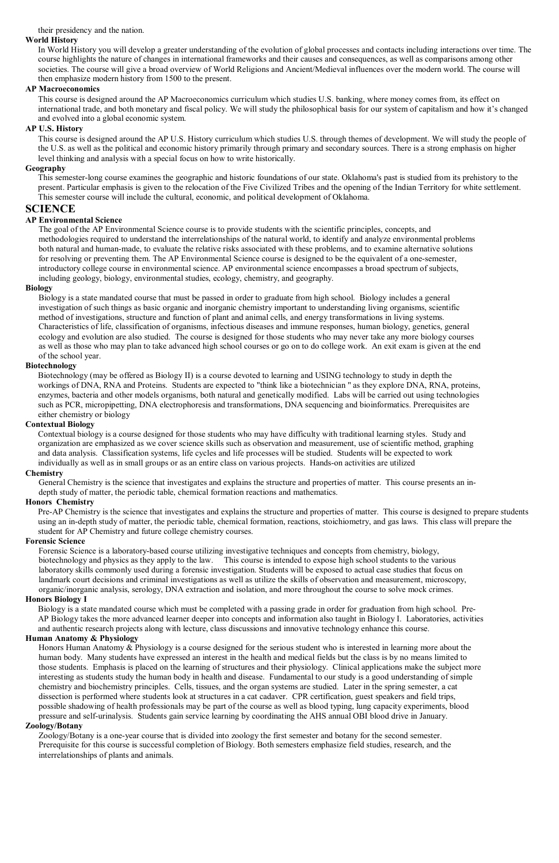their presidency and the nation.

#### **World History**

In World History you will develop a greater understanding of the evolution of global processes and contacts including interactions over time. The course highlights the nature of changes in international frameworks and their causes and consequences, as well as comparisons among other societies. The course will give a broad overview of World Religions and Ancient/Medieval influences over the modern world. The course will then emphasize modern history from 1500 to the present.

## **AP Macroeconomics**

This course is designed around the AP Macroeconomics curriculum which studies U.S. banking, where money comes from, its effect on international trade, and both monetary and fiscal policy. We will study the philosophical basis for our system of capitalism and how it's changed and evolved into a global economic system.

## **AP U.S. History**

This course is designed around the AP U.S. History curriculum which studies U.S. through themes of development. We will study the people of the U.S. as well as the political and economic history primarily through primary and secondary sources. There is a strong emphasis on higher level thinking and analysis with a special focus on how to write historically.

#### **Geography**

This semester-long course examines the geographic and historic foundations of our state. Oklahoma's past is studied from its prehistory to the present. Particular emphasis is given to the relocation of the Five Civilized Tribes and the opening of the Indian Territory for white settlement. This semester course will include the cultural, economic, and political development of Oklahoma.

## **SCIENCE**

## **AP Environmental Science**

The goal of the AP Environmental Science course is to provide students with the scientific principles, concepts, and methodologies required to understand the interrelationships of the natural world, to identify and analyze environmental problems both natural and human-made, to evaluate the relative risks associated with these problems, and to examine alternative solutions for resolving or preventing them. The AP Environmental Science course is designed to be the equivalent of a one-semester, introductory college course in environmental science. AP environmental science encompasses a broad spectrum of subjects, including geology, biology, environmental studies, ecology, chemistry, and geography.

#### **Biology**

Biology is a state mandated course that must be passed in order to graduate from high school. Biology includes a general investigation of such things as basic organic and inorganic chemistry important to understanding living organisms, scientific method of investigations, structure and function of plant and animal cells, and energy transformations in living systems. Characteristics of life, classification of organisms, infectious diseases and immune responses, human biology, genetics, general ecology and evolution are also studied. The course is designed for those students who may never take any more biology courses as well as those who may plan to take advanced high school courses or go on to do college work. An exit exam is given at the end of the school year.

## **Biotechnology**

Biotechnology (may be offered as Biology II) is a course devoted to learning and USING technology to study in depth the workings of DNA, RNA and Proteins. Students are expected to "think like a biotechnician '' as they explore DNA, RNA, proteins, enzymes, bacteria and other models organisms, both natural and genetically modified. Labs will be carried out using technologies such as PCR, micropipetting, DNA electrophoresis and transformations, DNA sequencing and bioinformatics. Prerequisites are either chemistry or biology

#### **Contextual Biology**

Contextual biology is a course designed for those students who may have difficulty with traditional learning styles. Study and organization are emphasized as we cover science skills such as observation and measurement, use of scientific method, graphing and data analysis. Classification systems, life cycles and life processes will be studied. Students will be expected to work individually as well as in small groups or as an entire class on various projects. Hands-on activities are utilized

## **Chemistry**

General Chemistry is the science that investigates and explains the structure and properties of matter. This course presents an indepth study of matter, the periodic table, chemical formation reactions and mathematics.

#### **Honors Chemistry**

Pre-AP Chemistry is the science that investigates and explains the structure and properties of matter. This course is designed to prepare students using an in-depth study of matter, the periodic table, chemical formation, reactions, stoichiometry, and gas laws. This class will prepare the student for AP Chemistry and future college chemistry courses.

#### **Forensic Science**

Forensic Science is a laboratory-based course utilizing investigative techniques and concepts from chemistry, biology, biotechnology and physics as they apply to the law. This course is intended to expose high school students to the various laboratory skills commonly used during a forensic investigation. Students will be exposed to actual case studies that focus on landmark court decisions and criminal investigations as well as utilize the skills of observation and measurement, microscopy, organic/inorganic analysis, serology, DNA extraction and isolation, and more throughout the course to solve mock crimes.

## **Honors Biology I**

Biology is a state mandated course which must be completed with a passing grade in order for graduation from high school. Pre-AP Biology takes the more advanced learner deeper into concepts and information also taught in Biology I. Laboratories, activities and authentic research projects along with lecture, class discussions and innovative technology enhance this course.

#### **Human Anatomy & Physiology**

Honors Human Anatomy & Physiology is a course designed for the serious student who is interested in learning more about the human body. Many students have expressed an interest in the health and medical fields but the class is by no means limited to those students. Emphasis is placed on the learning of structures and their physiology. Clinical applications make the subject more interesting as students study the human body in health and disease. Fundamental to our study is a good understanding of simple chemistry and biochemistry principles. Cells, tissues, and the organ systems are studied. Later in the spring semester, a cat dissection is performed where students look at structures in a cat cadaver. CPR certification, guest speakers and field trips, possible shadowing of health professionals may be part of the course as well as blood typing, lung capacity experiments, blood pressure and self-urinalysis. Students gain service learning by coordinating the AHS annual OBI blood drive in January.

## **Zoology/Botany**

Zoology/Botany is a one-year course that is divided into zoology the first semester and botany for the second semester. Prerequisite for this course is successful completion of Biology. Both semesters emphasize field studies, research, and the interrelationships of plants and animals.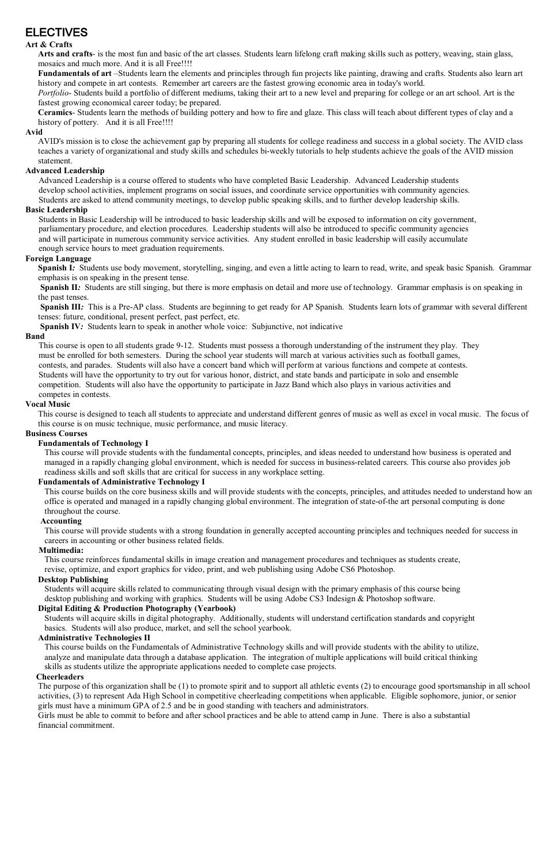# ELECTIVES

## **Art & Crafts**

**Arts and crafts**- is the most fun and basic of the art classes. Students learn lifelong craft making skills such as pottery, weaving, stain glass, mosaics and much more. And it is all Free!!!!

**Fundamentals of art** –Students learn the elements and principles through fun projects like painting, drawing and crafts. Students also learn art history and compete in art contests. Remember art careers are the fastest growing economic area in today's world.

*Portfolio*- Students build a portfolio of different mediums, taking their art to a new level and preparing for college or an art school. Art is the fastest growing economical career today; be prepared.

**Ceramics**- Students learn the methods of building pottery and how to fire and glaze. This class will teach about different types of clay and a history of pottery. And it is all Free!!!!

## **Avid**

AVID's mission is to close the achievement gap by preparing all students for college readiness and success in a global society. The AVID class teaches a variety of organizational and study skills and schedules bi-weekly tutorials to help students achieve the goals of the AVID mission statement.

#### **Advanced Leadership**

Advanced Leadership is a course offered to students who have completed Basic Leadership. Advanced Leadership students develop school activities, implement programs on social issues, and coordinate service opportunities with community agencies. Students are asked to attend community meetings, to develop public speaking skills, and to further develop leadership skills.

## **Basic Leadership**

Students in Basic Leadership will be introduced to basic leadership skills and will be exposed to information on city government, parliamentary procedure, and election procedures. Leadership students will also be introduced to specific community agencies and will participate in numerous community service activities. Any student enrolled in basic leadership will easily accumulate enough service hours to meet graduation requirements.

#### **Foreign Language**

**Spanish I***:* Students use body movement, storytelling, singing, and even a little acting to learn to read, write, and speak basic Spanish. Grammar emphasis is on speaking in the present tense.

**Spanish II***:* Students are still singing, but there is more emphasis on detail and more use of technology. Grammar emphasis is on speaking in the past tenses.

**Spanish III***:* This is a Pre-AP class. Students are beginning to get ready for AP Spanish. Students learn lots of grammar with several different tenses: future, conditional, present perfect, past perfect, etc.

Spanish IV: Students learn to speak in another whole voice: Subjunctive, not indicative

#### **Band**

This course is open to all students grade 9-12. Students must possess a thorough understanding of the instrument they play. They must be enrolled for both semesters. During the school year students will march at various activities such as football games, contests, and parades. Students will also have a concert band which will perform at various functions and compete at contests. Students will have the opportunity to try out for various honor, district, and state bands and participate in solo and ensemble competition. Students will also have the opportunity to participate in Jazz Band which also plays in various activities and competes in contests.

#### **Vocal Music**

This course is designed to teach all students to appreciate and understand different genres of music as well as excel in vocal music. The focus of this course is on music technique, music performance, and music literacy.

## **Business Courses**

## **Fundamentals of Technology I**

This course will provide students with the fundamental concepts, principles, and ideas needed to understand how business is operated and managed in a rapidly changing global environment, which is needed for success in business-related careers. This course also provides job readiness skills and soft skills that are critical for success in any workplace setting.

## **Fundamentals of Administrative Technology I**

This course builds on the core business skills and will provide students with the concepts, principles, and attitudes needed to understand how an office is operated and managed in a rapidly changing global environment. The integration of state-of-the art personal computing is done throughout the course.

## **Accounting**

This course will provide students with a strong foundation in generally accepted accounting principles and techniques needed for success in careers in accounting or other business related fields.

## **Multimedia:**

This course reinforces fundamental skills in image creation and management procedures and techniques as students create, revise, optimize, and export graphics for video, print, and web publishing using Adobe CS6 Photoshop.

#### **Desktop Publishing**

Students will acquire skills related to communicating through visual design with the primary emphasis of this course being desktop publishing and working with graphics. Students will be using Adobe CS3 Indesign & Photoshop software.

## **Digital Editing & Production Photography (Yearbook)**

Students will acquire skills in digital photography. Additionally, students will understand certification standards and copyright basics. Students will also produce, market, and sell the school yearbook.

## **Administrative Technologies II**

This course builds on the Fundamentals of Administrative Technology skills and will provide students with the ability to utilize, analyze and manipulate data through a database application. The integration of multiple applications will build critical thinking skills as students utilize the appropriate applications needed to complete case projects.

## **Cheerleaders**

The purpose of this organization shall be (1) to promote spirit and to support all athletic events (2) to encourage good sportsmanship in all school activities, (3) to represent Ada High School in competitive cheerleading competitions when applicable. Eligible sophomore, junior, or senior girls must have a minimum GPA of 2.5 and be in good standing with teachers and administrators.

Girls must be able to commit to before and after school practices and be able to attend camp in June. There is also a substantial financial commitment.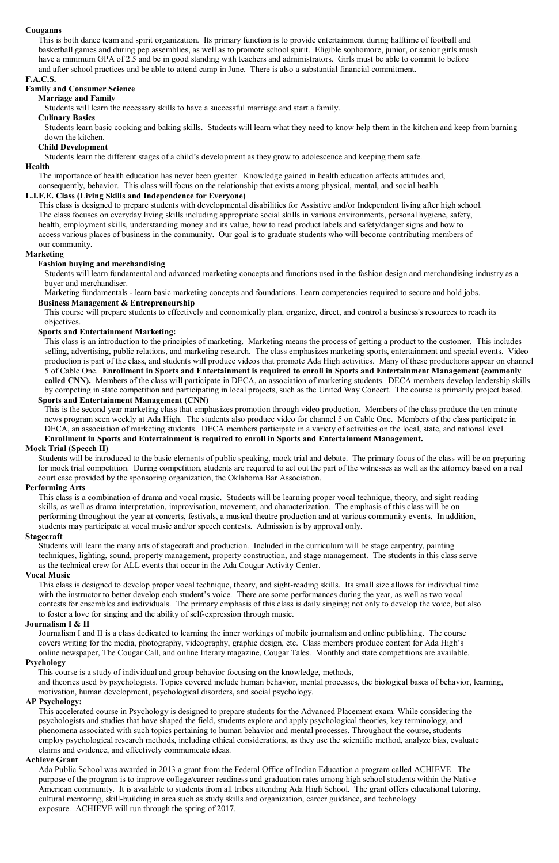## **Couganns**

This is both dance team and spirit organization. Its primary function is to provide entertainment during halftime of football and basketball games and during pep assemblies, as well as to promote school spirit. Eligible sophomore, junior, or senior girls mush have a minimum GPA of 2.5 and be in good standing with teachers and administrators. Girls must be able to commit to before and after school practices and be able to attend camp in June. There is also a substantial financial commitment.

## **F.A.C.S.**

## **Family and Consumer Science**

**Marriage and Family**

Students will learn the necessary skills to have a successful marriage and start a family.

## **Culinary Basics**

Students learn basic cooking and baking skills. Students will learn what they need to know help them in the kitchen and keep from burning down the kitchen.

## **Child Development**

Students learn the different stages of a child's development as they grow to adolescence and keeping them safe.

## **Health**

The importance of health education has never been greater. Knowledge gained in health education affects attitudes and,

consequently, behavior. This class will focus on the relationship that exists among physical, mental, and social health.

## **L.I.F.E. Class (Living Skills and Independence for Everyone)**

This class is designed to prepare students with developmental disabilities for Assistive and/or Independent living after high school. The class focuses on everyday living skills including appropriate social skills in various environments, personal hygiene, safety, health, employment skills, understanding money and its value, how to read product labels and safety/danger signs and how to access various places of business in the community. Our goal is to graduate students who will become contributing members of our community.

## **Marketing**

#### **Fashion buying and merchandising**

Students will learn fundamental and advanced marketing concepts and functions used in the fashion design and merchandising industry as a buyer and merchandiser.

Marketing fundamentals - learn basic marketing concepts and foundations. Learn competencies required to secure and hold jobs. **Business Management & Entrepreneurship**

This course will prepare students to effectively and economically plan, organize, direct, and control a business's resources to reach its objectives.

## **Sports and Entertainment Marketing:**

This class is an introduction to the principles of marketing. Marketing means the process of getting a product to the customer. This includes selling, advertising, public relations, and marketing research. The class emphasizes marketing sports, entertainment and special events. Video production is part of the class, and students will produce videos that promote Ada High activities. Many of these productions appear on channel 5 of Cable One. **Enrollment in Sports and Entertainment is required to enroll in Sports and Entertainment Management (commonly called CNN).** Members of the class will participate in DECA, an association of marketing students. DECA members develop leadership skills by competing in state competition and participating in local projects, such as the United Way Concert. The course is primarily project based. **Sports and Entertainment Management (CNN)**

This is the second year marketing class that emphasizes promotion through video production. Members of the class produce the ten minute news program seen weekly at Ada High. The students also produce video for channel 5 on Cable One. Members of the class participate in DECA, an association of marketing students. DECA members participate in a variety of activities on the local, state, and national level.

#### **Enrollment in Sports and Entertainment is required to enroll in Sports and Entertainment Management.**

#### **Mock Trial (Speech II)**

Students will be introduced to the basic elements of public speaking, mock trial and debate. The primary focus of the class will be on preparing for mock trial competition. During competition, students are required to act out the part of the witnesses as well as the attorney based on a real court case provided by the sponsoring organization, the Oklahoma Bar Association.

#### **Performing Arts**

This class is a combination of drama and vocal music. Students will be learning proper vocal technique, theory, and sight reading skills, as well as drama interpretation, improvisation, movement, and characterization. The emphasis of this class will be on performing throughout the year at concerts, festivals, a musical theatre production and at various community events. In addition, students may participate at vocal music and/or speech contests. Admission is by approval only.

#### **Stagecraft**

Students will learn the many arts of stagecraft and production. Included in the curriculum will be stage carpentry, painting techniques, lighting, sound, property management, property construction, and stage management. The students in this class serve as the technical crew for ALL events that occur in the Ada Cougar Activity Center.

#### **Vocal Music**

This class is designed to develop proper vocal technique, theory, and sight-reading skills. Its small size allows for individual time with the instructor to better develop each student's voice. There are some performances during the year, as well as two vocal contests for ensembles and individuals. The primary emphasis of this class is daily singing; not only to develop the voice, but also to foster a love for singing and the ability of self-expression through music.

#### **Journalism I & II**

Journalism I and II is a class dedicated to learning the inner workings of mobile journalism and online publishing. The course covers writing for the media, photography, videography, graphic design, etc. Class members produce content for Ada High's online newspaper, The Cougar Call, and online literary magazine, Cougar Tales. Monthly and state competitions are available.

## **Psychology**

This course is a study of individual and group behavior focusing on the knowledge, methods,

and theories used by psychologists. Topics covered include human behavior, mental processes, the biological bases of behavior, learning, motivation, human development, psychological disorders, and social psychology.

## **AP Psychology:**

This accelerated course in Psychology is designed to prepare students for the Advanced Placement exam. While considering the psychologists and studies that have shaped the field, students explore and apply psychological theories, key terminology, and phenomena associated with such topics pertaining to human behavior and mental processes. Throughout the course, students employ psychological research methods, including ethical considerations, as they use the scientific method, analyze bias, evaluate claims and evidence, and effectively communicate ideas.

## **Achieve Grant**

Ada Public School was awarded in 2013 a grant from the Federal Office of Indian Education a program called ACHIEVE. The purpose of the program is to improve college/career readiness and graduation rates among high school students within the Native American community. It is available to students from all tribes attending Ada High School. The grant offers educational tutoring, cultural mentoring, skill-building in area such as study skills and organization, career guidance, and technology exposure. ACHIEVE will run through the spring of 2017.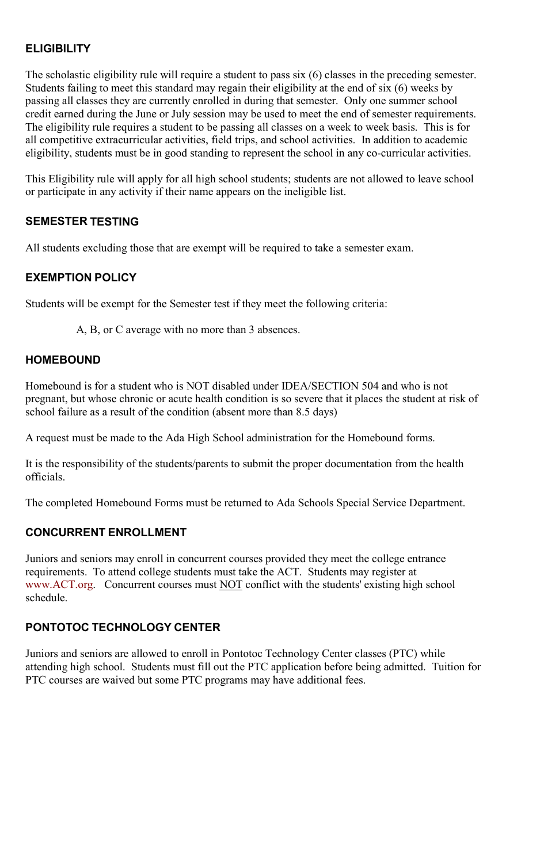# **ELIGIBILITY**

The scholastic eligibility rule will require a student to pass six (6) classes in the preceding semester. Students failing to meet this standard may regain their eligibility at the end of six (6) weeks by passing all classes they are currently enrolled in during that semester. Only one summer school credit earned during the June or July session may be used to meet the end of semester requirements. The eligibility rule requires a student to be passing all classes on a week to week basis. This is for all competitive extracurricular activities, field trips, and school activities. In addition to academic eligibility, students must be in good standing to represent the school in any co-curricular activities.

This Eligibility rule will apply for all high school students; students are not allowed to leave school or participate in any activity if their name appears on the ineligible list.

# **SEMESTER TESTING**

All students excluding those that are exempt will be required to take a semester exam.

## **EXEMPTION POLICY**

Students will be exempt for the Semester test if they meet the following criteria:

A, B, or C average with no more than 3 absences.

## **HOMEBOUND**

Homebound is for a student who is NOT disabled under IDEA/SECTION 504 and who is not pregnant, but whose chronic or acute health condition is so severe that it places the student at risk of school failure as a result of the condition (absent more than 8.5 days)

A request must be made to the Ada High School administration for the Homebound forms.

It is the responsibility of the students/parents to submit the proper documentation from the health officials.

The completed Homebound Forms must be returned to Ada Schools Special Service Department.

## **CONCURRENT ENROLLMENT**

Juniors and seniors may enroll in concurrent courses provided they meet the college entrance requirements. To attend college students must take the ACT. Students may register at [www.ACT.org.](http://www.act.org/) Concurrent courses must NOT conflict with the students' existing high school schedule.

# **PONTOTOC TECHNOLOGY CENTER**

Juniors and seniors are allowed to enroll in Pontotoc Technology Center classes (PTC) while attending high school. Students must fill out the PTC application before being admitted. Tuition for PTC courses are waived but some PTC programs may have additional fees.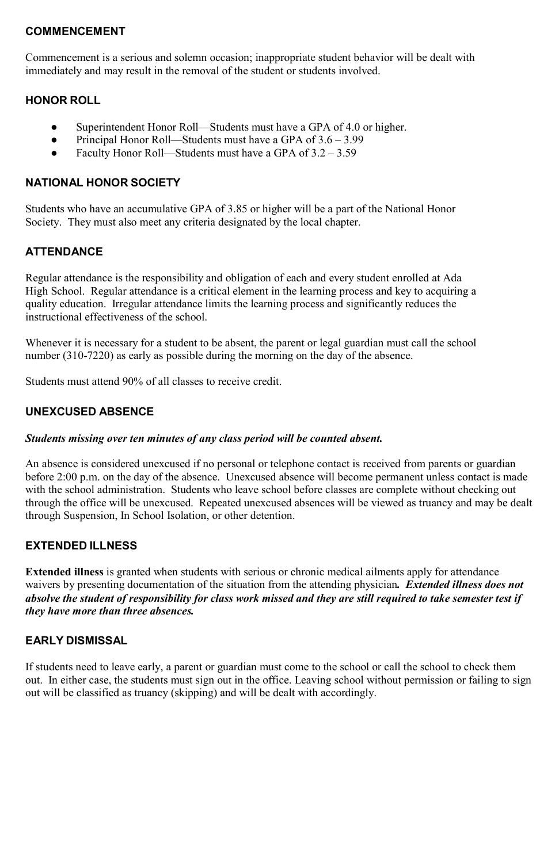# **COMMENCEMENT**

Commencement is a serious and solemn occasion; inappropriate student behavior will be dealt with immediately and may result in the removal of the student or students involved.

## **HONOR ROLL**

- Superintendent Honor Roll—Students must have a GPA of 4.0 or higher.
- Principal Honor Roll—Students must have a GPA of  $3.6 3.99$
- Faculty Honor Roll—Students must have a GPA of  $3.2 3.59$

## **NATIONAL HONOR SOCIETY**

Students who have an accumulative GPA of 3.85 or higher will be a part of the National Honor Society. They must also meet any criteria designated by the local chapter.

## **ATTENDANCE**

Regular attendance is the responsibility and obligation of each and every student enrolled at Ada High School. Regular attendance is a critical element in the learning process and key to acquiring a quality education. Irregular attendance limits the learning process and significantly reduces the instructional effectiveness of the school.

Whenever it is necessary for a student to be absent, the parent or legal guardian must call the school number (310-7220) as early as possible during the morning on the day of the absence.

Students must attend 90% of all classes to receive credit.

## **UNEXCUSED ABSENCE**

## *Students missing over ten minutes of any class period will be counted absent.*

An absence is considered unexcused if no personal or telephone contact is received from parents or guardian before 2:00 p.m. on the day of the absence. Unexcused absence will become permanent unless contact is made with the school administration. Students who leave school before classes are complete without checking out through the office will be unexcused. Repeated unexcused absences will be viewed as truancy and may be dealt through Suspension, In School Isolation, or other detention.

# **EXTENDED ILLNESS**

**Extended illness** is granted when students with serious or chronic medical ailments apply for attendance waivers by presenting documentation of the situation from the attending physician*. Extended illness does not absolve the student of responsibility for class work missed and they are still required to take semester test if they have more than three absences.*

## **EARLY DISMISSAL**

If students need to leave early, a parent or guardian must come to the school or call the school to check them out. In either case, the students must sign out in the office. Leaving school without permission or failing to sign out will be classified as truancy (skipping) and will be dealt with accordingly.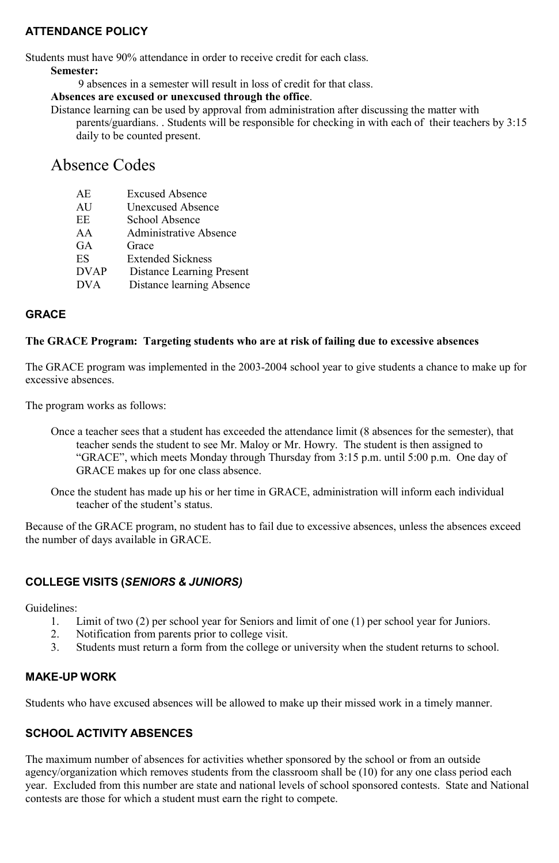# **ATTENDANCE POLICY**

Students must have 90% attendance in order to receive credit for each class.

## **Semester:**

9 absences in a semester will result in loss of credit for that class.

# **Absences are excused or unexcused through the office**.

Distance learning can be used by approval from administration after discussing the matter with parents/guardians. . Students will be responsible for checking in with each of their teachers by 3:15 daily to be counted present.

# Absence Codes

| AE          | <b>Excused Absence</b>    |
|-------------|---------------------------|
| AU          | Unexcused Absence         |
| FF.         | School Absence            |
| AA          | Administrative Absence    |
| GA          | Grace                     |
| ES          | <b>Extended Sickness</b>  |
| <b>DVAP</b> | Distance Learning Present |
| DVA         | Distance learning Absence |
|             |                           |

## **GRACE**

## **The GRACE Program: Targeting students who are at risk of failing due to excessive absences**

The GRACE program was implemented in the 2003-2004 school year to give students a chance to make up for excessive absences.

The program works as follows:

- Once a teacher sees that a student has exceeded the attendance limit (8 absences for the semester), that teacher sends the student to see Mr. Maloy or Mr. Howry. The student is then assigned to "GRACE", which meets Monday through Thursday from 3:15 p.m. until 5:00 p.m. One day of GRACE makes up for one class absence.
- Once the student has made up his or her time in GRACE, administration will inform each individual teacher of the student's status.

Because of the GRACE program, no student has to fail due to excessive absences, unless the absences exceed the number of days available in GRACE.

# **COLLEGE VISITS (***SENIORS & JUNIORS)*

Guidelines:

- 1. Limit of two (2) per school year for Seniors and limit of one (1) per school year for Juniors.
- 2. Notification from parents prior to college visit.<br>3. Students must return a form from the college or
- 3. Students must return a form from the college or university when the student returns to school.

## **MAKE-UP WORK**

Students who have excused absences will be allowed to make up their missed work in a timely manner.

# **SCHOOL ACTIVITY ABSENCES**

The maximum number of absences for activities whether sponsored by the school or from an outside agency/organization which removes students from the classroom shall be (10) for any one class period each year. Excluded from this number are state and national levels of school sponsored contests. State and National contests are those for which a student must earn the right to compete.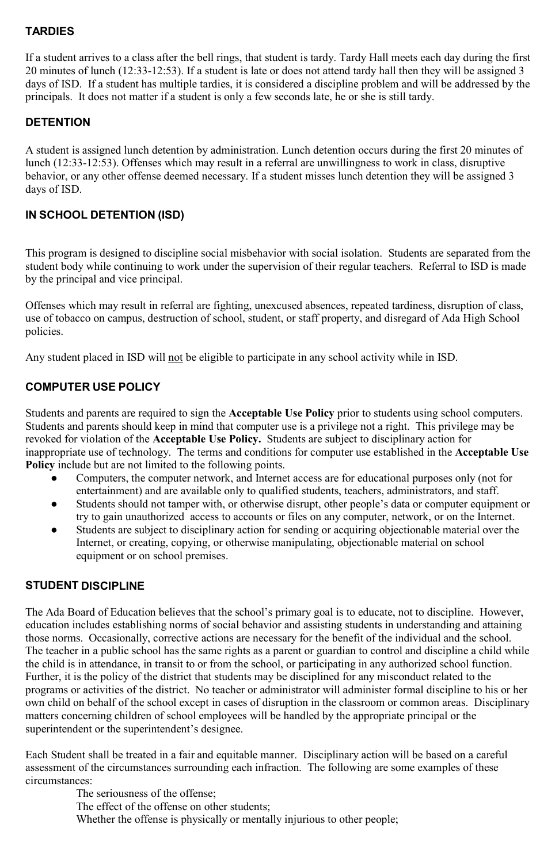# **TARDIES**

If a student arrives to a class after the bell rings, that student is tardy. Tardy Hall meets each day during the first 20 minutes of lunch (12:33-12:53). If a student is late or does not attend tardy hall then they will be assigned 3 days of ISD. If a student has multiple tardies, it is considered a discipline problem and will be addressed by the principals. It does not matter if a student is only a few seconds late, he or she is still tardy.

# **DETENTION**

A student is assigned lunch detention by administration. Lunch detention occurs during the first 20 minutes of lunch (12:33-12:53). Offenses which may result in a referral are unwillingness to work in class, disruptive behavior, or any other offense deemed necessary. If a student misses lunch detention they will be assigned 3 days of ISD.

# **IN SCHOOL DETENTION (ISD)**

This program is designed to discipline social misbehavior with social isolation. Students are separated from the student body while continuing to work under the supervision of their regular teachers. Referral to ISD is made by the principal and vice principal.

Offenses which may result in referral are fighting, unexcused absences, repeated tardiness, disruption of class, use of tobacco on campus, destruction of school, student, or staff property, and disregard of Ada High School policies.

Any student placed in ISD will not be eligible to participate in any school activity while in ISD.

# **COMPUTER USE POLICY**

Students and parents are required to sign the **Acceptable Use Policy** prior to students using school computers. Students and parents should keep in mind that computer use is a privilege not a right. This privilege may be revoked for violation of the **Acceptable Use Policy.** Students are subject to disciplinary action for inappropriate use of technology. The terms and conditions for computer use established in the **Acceptable Use Policy** include but are not limited to the following points.

- Computers, the computer network, and Internet access are for educational purposes only (not for entertainment) and are available only to qualified students, teachers, administrators, and staff.
- Students should not tamper with, or otherwise disrupt, other people's data or computer equipment or try to gain unauthorized access to accounts or files on any computer, network, or on the Internet.
- Students are subject to disciplinary action for sending or acquiring objectionable material over the Internet, or creating, copying, or otherwise manipulating, objectionable material on school equipment or on school premises.

## **STUDENT DISCIPLINE**

The Ada Board of Education believes that the school's primary goal is to educate, not to discipline. However, education includes establishing norms of social behavior and assisting students in understanding and attaining those norms. Occasionally, corrective actions are necessary for the benefit of the individual and the school. The teacher in a public school has the same rights as a parent or guardian to control and discipline a child while the child is in attendance, in transit to or from the school, or participating in any authorized school function. Further, it is the policy of the district that students may be disciplined for any misconduct related to the programs or activities of the district. No teacher or administrator will administer formal discipline to his or her own child on behalf of the school except in cases of disruption in the classroom or common areas. Disciplinary matters concerning children of school employees will be handled by the appropriate principal or the superintendent or the superintendent's designee.

Each Student shall be treated in a fair and equitable manner. Disciplinary action will be based on a careful assessment of the circumstances surrounding each infraction. The following are some examples of these circumstances:

The seriousness of the offense; The effect of the offense on other students; Whether the offense is physically or mentally injurious to other people;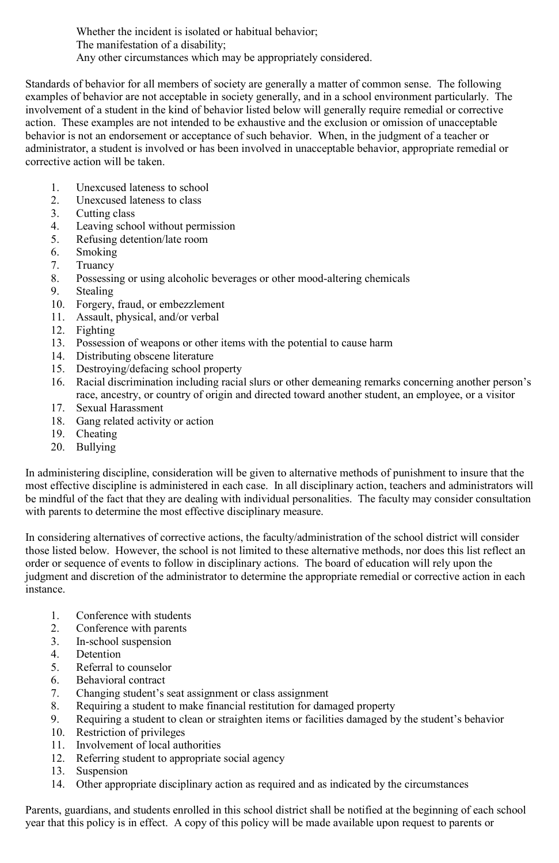Whether the incident is isolated or habitual behavior; The manifestation of a disability; Any other circumstances which may be appropriately considered.

Standards of behavior for all members of society are generally a matter of common sense. The following examples of behavior are not acceptable in society generally, and in a school environment particularly. The involvement of a student in the kind of behavior listed below will generally require remedial or corrective action. These examples are not intended to be exhaustive and the exclusion or omission of unacceptable behavior is not an endorsement or acceptance of such behavior. When, in the judgment of a teacher or administrator, a student is involved or has been involved in unacceptable behavior, appropriate remedial or corrective action will be taken.

- 1. Unexcused lateness to school<br>2. Unexcused lateness to class
- Unexcused lateness to class
- 3. Cutting class
- 4. Leaving school without permission
- 5. Refusing detention/late room
- 6. Smoking
- 7. Truancy
- 8. Possessing or using alcoholic beverages or other mood-altering chemicals
- 9. Stealing
- 10. Forgery, fraud, or embezzlement
- 11. Assault, physical, and/or verbal
- 12. Fighting
- 13. Possession of weapons or other items with the potential to cause harm
- 14. Distributing obscene literature
- 15. Destroying/defacing school property
- 16. Racial discrimination including racial slurs or other demeaning remarks concerning another person's race, ancestry, or country of origin and directed toward another student, an employee, or a visitor
- 17. Sexual Harassment
- 18. Gang related activity or action
- 19. Cheating
- 20. Bullying

In administering discipline, consideration will be given to alternative methods of punishment to insure that the most effective discipline is administered in each case. In all disciplinary action, teachers and administrators will be mindful of the fact that they are dealing with individual personalities. The faculty may consider consultation with parents to determine the most effective disciplinary measure.

In considering alternatives of corrective actions, the faculty/administration of the school district will consider those listed below. However, the school is not limited to these alternative methods, nor does this list reflect an order or sequence of events to follow in disciplinary actions. The board of education will rely upon the judgment and discretion of the administrator to determine the appropriate remedial or corrective action in each instance.

- 1. Conference with students<br>2. Conference with parents
- Conference with parents
- 3. In-school suspension
- 4. Detention<br>5 Referral to
- 5. Referral to counselor
- 6. Behavioral contract
- 7. Changing student's seat assignment or class assignment
- 8. Requiring a student to make financial restitution for damaged property
- 9. Requiring a student to clean or straighten items or facilities damaged by the student's behavior
- 10. Restriction of privileges
- 11. Involvement of local authorities
- 12. Referring student to appropriate social agency
- 13. Suspension
- 14. Other appropriate disciplinary action as required and as indicated by the circumstances

Parents, guardians, and students enrolled in this school district shall be notified at the beginning of each school year that this policy is in effect. A copy of this policy will be made available upon request to parents or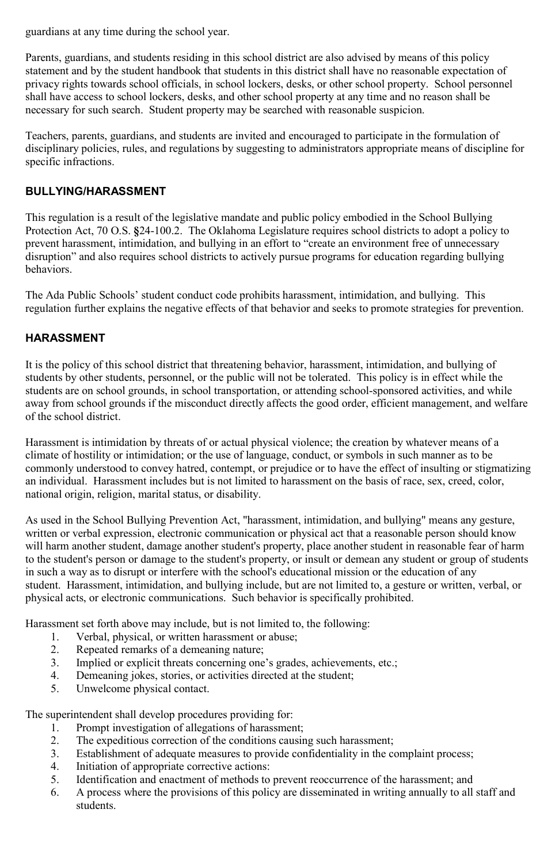guardians at any time during the school year.

Parents, guardians, and students residing in this school district are also advised by means of this policy statement and by the student handbook that students in this district shall have no reasonable expectation of privacy rights towards school officials, in school lockers, desks, or other school property. School personnel shall have access to school lockers, desks, and other school property at any time and no reason shall be necessary for such search. Student property may be searched with reasonable suspicion.

Teachers, parents, guardians, and students are invited and encouraged to participate in the formulation of disciplinary policies, rules, and regulations by suggesting to administrators appropriate means of discipline for specific infractions.

## **BULLYING/HARASSMENT**

This regulation is a result of the legislative mandate and public policy embodied in the School Bullying Protection Act, 70 O.S. **§**24-100.2. The Oklahoma Legislature requires school districts to adopt a policy to prevent harassment, intimidation, and bullying in an effort to "create an environment free of unnecessary disruption" and also requires school districts to actively pursue programs for education regarding bullying behaviors.

The Ada Public Schools' student conduct code prohibits harassment, intimidation, and bullying. This regulation further explains the negative effects of that behavior and seeks to promote strategies for prevention.

# **HARASSMENT**

It is the policy of this school district that threatening behavior, harassment, intimidation, and bullying of students by other students, personnel, or the public will not be tolerated. This policy is in effect while the students are on school grounds, in school transportation, or attending school-sponsored activities, and while away from school grounds if the misconduct directly affects the good order, efficient management, and welfare of the school district.

Harassment is intimidation by threats of or actual physical violence; the creation by whatever means of a climate of hostility or intimidation; or the use of language, conduct, or symbols in such manner as to be commonly understood to convey hatred, contempt, or prejudice or to have the effect of insulting or stigmatizing an individual. Harassment includes but is not limited to harassment on the basis of race, sex, creed, color, national origin, religion, marital status, or disability.

As used in the School Bullying Prevention Act, "harassment, intimidation, and bullying" means any gesture, written or verbal expression, electronic communication or physical act that a reasonable person should know will harm another student, damage another student's property, place another student in reasonable fear of harm to the student's person or damage to the student's property, or insult or demean any student or group of students in such a way as to disrupt or interfere with the school's educational mission or the education of any student. Harassment, intimidation, and bullying include, but are not limited to, a gesture or written, verbal, or physical acts, or electronic communications. Such behavior is specifically prohibited.

Harassment set forth above may include, but is not limited to, the following:

- 1. Verbal, physical, or written harassment or abuse;<br>2. Repeated remarks of a demeaning nature:
- Repeated remarks of a demeaning nature;
- 3. Implied or explicit threats concerning one's grades, achievements, etc.;
- 4. Demeaning jokes, stories, or activities directed at the student;
- 5. Unwelcome physical contact.

The superintendent shall develop procedures providing for:

- 1. Prompt investigation of allegations of harassment;
- 2. The expeditious correction of the conditions causing such harassment;<br>3. Establishment of adequate measures to provide confidentiality in the c
- Establishment of adequate measures to provide confidentiality in the complaint process;
- 4. Initiation of appropriate corrective actions:
- 5. Identification and enactment of methods to prevent reoccurrence of the harassment; and
- 6. A process where the provisions of this policy are disseminated in writing annually to all staff and students.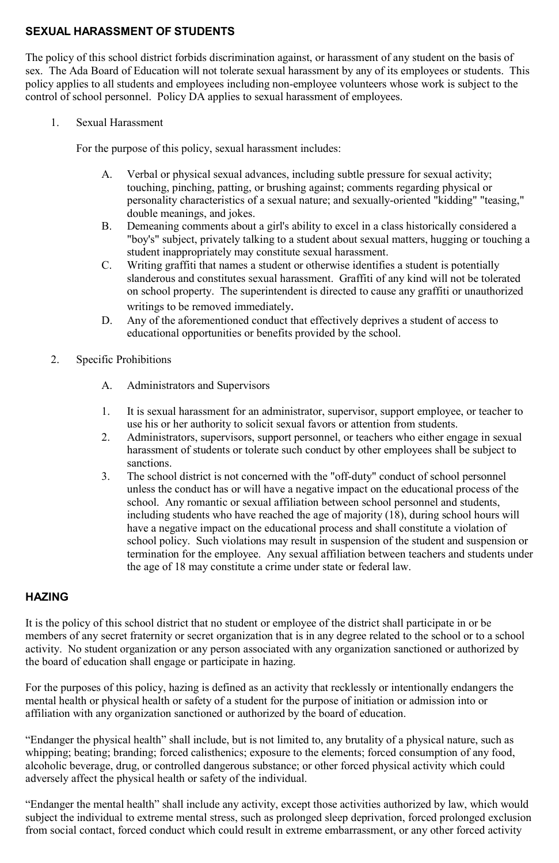# **SEXUAL HARASSMENT OF STUDENTS**

The policy of this school district forbids discrimination against, or harassment of any student on the basis of sex. The Ada Board of Education will not tolerate sexual harassment by any of its employees or students. This policy applies to all students and employees including non-employee volunteers whose work is subject to the control of school personnel. Policy DA applies to sexual harassment of employees.

1. Sexual Harassment

For the purpose of this policy, sexual harassment includes:

- A. Verbal or physical sexual advances, including subtle pressure for sexual activity; touching, pinching, patting, or brushing against; comments regarding physical or personality characteristics of a sexual nature; and sexually-oriented "kidding" "teasing," double meanings, and jokes.
- B. Demeaning comments about a girl's ability to excel in a class historically considered a "boy's" subject, privately talking to a student about sexual matters, hugging or touching a student inappropriately may constitute sexual harassment.
- C. Writing graffiti that names a student or otherwise identifies a student is potentially slanderous and constitutes sexual harassment. Graffiti of any kind will not be tolerated on school property. The superintendent is directed to cause any graffiti or unauthorized writings to be removed immediately.
- D. Any of the aforementioned conduct that effectively deprives a student of access to educational opportunities or benefits provided by the school.
- 2. Specific Prohibitions
	- A. Administrators and Supervisors
	- 1. It is sexual harassment for an administrator, supervisor, support employee, or teacher to use his or her authority to solicit sexual favors or attention from students.
	- 2. Administrators, supervisors, support personnel, or teachers who either engage in sexual harassment of students or tolerate such conduct by other employees shall be subject to sanctions.
	- 3. The school district is not concerned with the "off-duty" conduct of school personnel unless the conduct has or will have a negative impact on the educational process of the school. Any romantic or sexual affiliation between school personnel and students, including students who have reached the age of majority (18), during school hours will have a negative impact on the educational process and shall constitute a violation of school policy. Such violations may result in suspension of the student and suspension or termination for the employee. Any sexual affiliation between teachers and students under the age of 18 may constitute a crime under state or federal law.

# **HAZING**

It is the policy of this school district that no student or employee of the district shall participate in or be members of any secret fraternity or secret organization that is in any degree related to the school or to a school activity. No student organization or any person associated with any organization sanctioned or authorized by the board of education shall engage or participate in hazing.

For the purposes of this policy, hazing is defined as an activity that recklessly or intentionally endangers the mental health or physical health or safety of a student for the purpose of initiation or admission into or affiliation with any organization sanctioned or authorized by the board of education.

"Endanger the physical health" shall include, but is not limited to, any brutality of a physical nature, such as whipping; beating; branding; forced calisthenics; exposure to the elements; forced consumption of any food, alcoholic beverage, drug, or controlled dangerous substance; or other forced physical activity which could adversely affect the physical health or safety of the individual.

"Endanger the mental health" shall include any activity, except those activities authorized by law, which would subject the individual to extreme mental stress, such as prolonged sleep deprivation, forced prolonged exclusion from social contact, forced conduct which could result in extreme embarrassment, or any other forced activity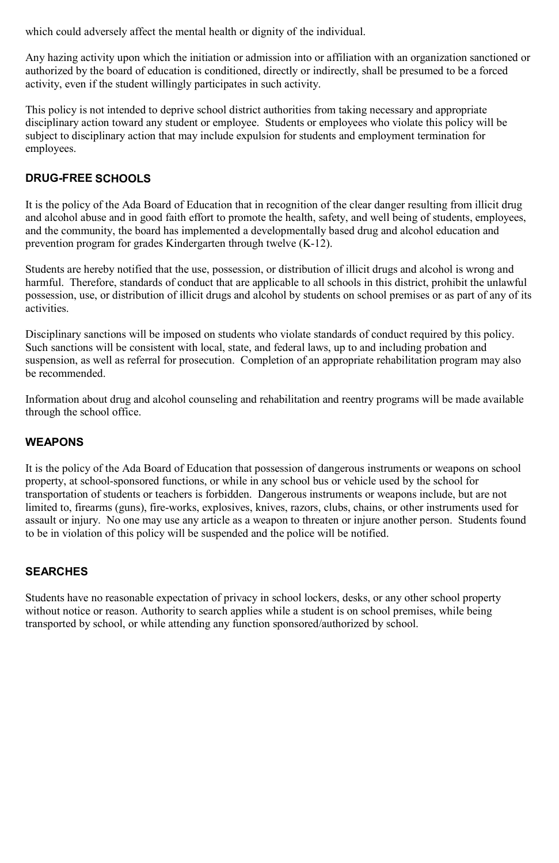which could adversely affect the mental health or dignity of the individual.

Any hazing activity upon which the initiation or admission into or affiliation with an organization sanctioned or authorized by the board of education is conditioned, directly or indirectly, shall be presumed to be a forced activity, even if the student willingly participates in such activity.

This policy is not intended to deprive school district authorities from taking necessary and appropriate disciplinary action toward any student or employee. Students or employees who violate this policy will be subject to disciplinary action that may include expulsion for students and employment termination for employees.

# **DRUG-FREE SCHOOLS**

It is the policy of the Ada Board of Education that in recognition of the clear danger resulting from illicit drug and alcohol abuse and in good faith effort to promote the health, safety, and well being of students, employees, and the community, the board has implemented a developmentally based drug and alcohol education and prevention program for grades Kindergarten through twelve (K-12).

Students are hereby notified that the use, possession, or distribution of illicit drugs and alcohol is wrong and harmful. Therefore, standards of conduct that are applicable to all schools in this district, prohibit the unlawful possession, use, or distribution of illicit drugs and alcohol by students on school premises or as part of any of its activities.

Disciplinary sanctions will be imposed on students who violate standards of conduct required by this policy. Such sanctions will be consistent with local, state, and federal laws, up to and including probation and suspension, as well as referral for prosecution. Completion of an appropriate rehabilitation program may also be recommended.

Information about drug and alcohol counseling and rehabilitation and reentry programs will be made available through the school office.

## **WEAPONS**

It is the policy of the Ada Board of Education that possession of dangerous instruments or weapons on school property, at school-sponsored functions, or while in any school bus or vehicle used by the school for transportation of students or teachers is forbidden. Dangerous instruments or weapons include, but are not limited to, firearms (guns), fire-works, explosives, knives, razors, clubs, chains, or other instruments used for assault or injury. No one may use any article as a weapon to threaten or injure another person. Students found to be in violation of this policy will be suspended and the police will be notified.

## **SEARCHES**

Students have no reasonable expectation of privacy in school lockers, desks, or any other school property without notice or reason. Authority to search applies while a student is on school premises, while being transported by school, or while attending any function sponsored/authorized by school.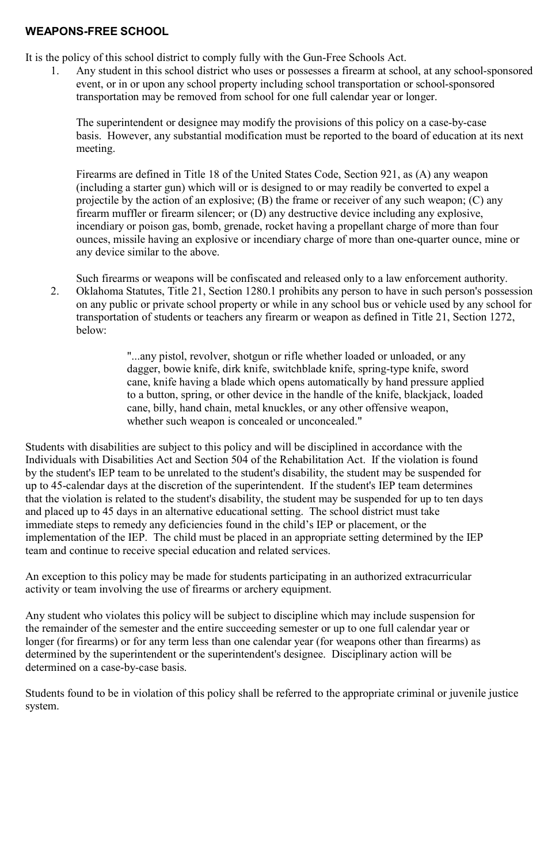## **WEAPONS-FREE SCHOOL**

It is the policy of this school district to comply fully with the Gun-Free Schools Act.

1. Any student in this school district who uses or possesses a firearm at school, at any school-sponsored event, or in or upon any school property including school transportation or school-sponsored transportation may be removed from school for one full calendar year or longer.

The superintendent or designee may modify the provisions of this policy on a case-by-case basis. However, any substantial modification must be reported to the board of education at its next meeting.

Firearms are defined in Title 18 of the United States Code, Section 921, as (A) any weapon (including a starter gun) which will or is designed to or may readily be converted to expel a projectile by the action of an explosive; (B) the frame or receiver of any such weapon;  $(C)$  any firearm muffler or firearm silencer; or (D) any destructive device including any explosive, incendiary or poison gas, bomb, grenade, rocket having a propellant charge of more than four ounces, missile having an explosive or incendiary charge of more than one-quarter ounce, mine or any device similar to the above.

Such firearms or weapons will be confiscated and released only to a law enforcement authority. 2. Oklahoma Statutes, Title 21, Section 1280.1 prohibits any person to have in such person's possession on any public or private school property or while in any school bus or vehicle used by any school for transportation of students or teachers any firearm or weapon as defined in Title 21, Section 1272, below:

> "...any pistol, revolver, shotgun or rifle whether loaded or unloaded, or any dagger, bowie knife, dirk knife, switchblade knife, spring-type knife, sword cane, knife having a blade which opens automatically by hand pressure applied to a button, spring, or other device in the handle of the knife, blackjack, loaded cane, billy, hand chain, metal knuckles, or any other offensive weapon, whether such weapon is concealed or unconcealed."

Students with disabilities are subject to this policy and will be disciplined in accordance with the Individuals with Disabilities Act and Section 504 of the Rehabilitation Act. If the violation is found by the student's IEP team to be unrelated to the student's disability, the student may be suspended for up to 45-calendar days at the discretion of the superintendent. If the student's IEP team determines that the violation is related to the student's disability, the student may be suspended for up to ten days and placed up to 45 days in an alternative educational setting. The school district must take immediate steps to remedy any deficiencies found in the child's IEP or placement, or the implementation of the IEP. The child must be placed in an appropriate setting determined by the IEP team and continue to receive special education and related services.

An exception to this policy may be made for students participating in an authorized extracurricular activity or team involving the use of firearms or archery equipment.

Any student who violates this policy will be subject to discipline which may include suspension for the remainder of the semester and the entire succeeding semester or up to one full calendar year or longer (for firearms) or for any term less than one calendar year (for weapons other than firearms) as determined by the superintendent or the superintendent's designee. Disciplinary action will be determined on a case-by-case basis.

Students found to be in violation of this policy shall be referred to the appropriate criminal or juvenile justice system.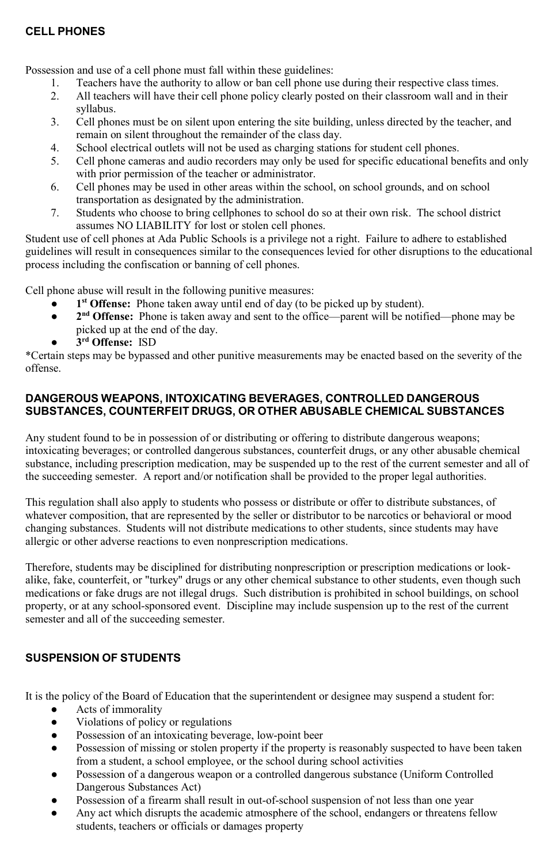Possession and use of a cell phone must fall within these guidelines:

- 1. Teachers have the authority to allow or ban cell phone use during their respective class times.<br>2. All teachers will have their cell phone policy clearly posted on their classroom wall and in the
- 2. All teachers will have their cell phone policy clearly posted on their classroom wall and in their syllabus.
- 3. Cell phones must be on silent upon entering the site building, unless directed by the teacher, and remain on silent throughout the remainder of the class day.
- 4. School electrical outlets will not be used as charging stations for student cell phones.
- 5. Cell phone cameras and audio recorders may only be used for specific educational benefits and only with prior permission of the teacher or administrator.
- 6. Cell phones may be used in other areas within the school, on school grounds, and on school transportation as designated by the administration.
- 7. Students who choose to bring cellphones to school do so at their own risk. The school district assumes NO LIABILITY for lost or stolen cell phones.

Student use of cell phones at Ada Public Schools is a privilege not a right. Failure to adhere to established guidelines will result in consequences similar to the consequences levied for other disruptions to the educational process including the confiscation or banning of cell phones.

Cell phone abuse will result in the following punitive measures:

- 1<sup>st</sup> Offense: Phone taken away until end of day (to be picked up by student).
- 2<sup>nd</sup> Offense: Phone is taken away and sent to the office—parent will be notified—phone may be picked up at the end of the day.
- **3rd Offense:** ISD

\*Certain steps may be bypassed and other punitive measurements may be enacted based on the severity of the offense.

# **DANGEROUS WEAPONS, INTOXICATING BEVERAGES, CONTROLLED DANGEROUS SUBSTANCES, COUNTERFEIT DRUGS, OR OTHER ABUSABLE CHEMICAL SUBSTANCES**

Any student found to be in possession of or distributing or offering to distribute dangerous weapons; intoxicating beverages; or controlled dangerous substances, counterfeit drugs, or any other abusable chemical substance, including prescription medication, may be suspended up to the rest of the current semester and all of the succeeding semester. A report and/or notification shall be provided to the proper legal authorities.

This regulation shall also apply to students who possess or distribute or offer to distribute substances, of whatever composition, that are represented by the seller or distributor to be narcotics or behavioral or mood changing substances. Students will not distribute medications to other students, since students may have allergic or other adverse reactions to even nonprescription medications.

Therefore, students may be disciplined for distributing nonprescription or prescription medications or lookalike, fake, counterfeit, or "turkey" drugs or any other chemical substance to other students, even though such medications or fake drugs are not illegal drugs. Such distribution is prohibited in school buildings, on school property, or at any school-sponsored event. Discipline may include suspension up to the rest of the current semester and all of the succeeding semester.

# **SUSPENSION OF STUDENTS**

It is the policy of the Board of Education that the superintendent or designee may suspend a student for:

- Acts of immorality
- Violations of policy or regulations
- Possession of an intoxicating beverage, low-point beer
- Possession of missing or stolen property if the property is reasonably suspected to have been taken from a student, a school employee, or the school during school activities
- Possession of a dangerous weapon or a controlled dangerous substance (Uniform Controlled Dangerous Substances Act)
- Possession of a firearm shall result in out-of-school suspension of not less than one year
- Any act which disrupts the academic atmosphere of the school, endangers or threatens fellow students, teachers or officials or damages property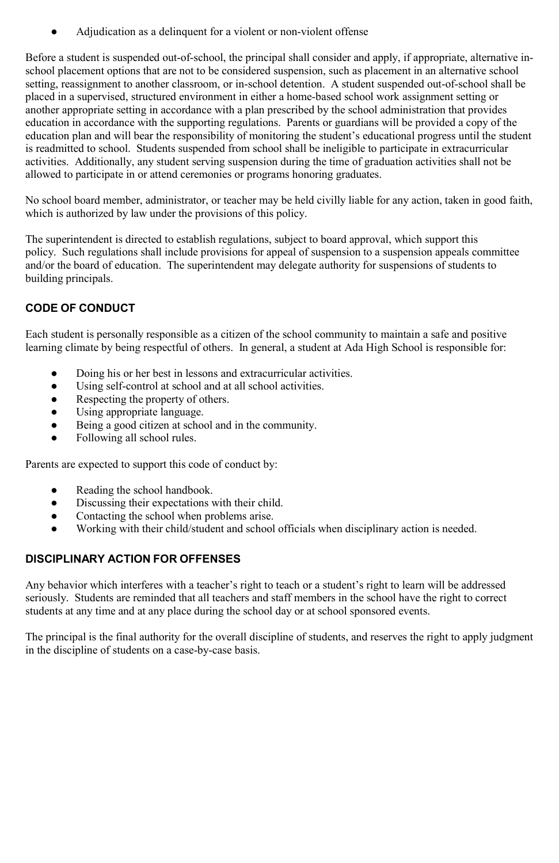Adjudication as a delinquent for a violent or non-violent offense

Before a student is suspended out-of-school, the principal shall consider and apply, if appropriate, alternative inschool placement options that are not to be considered suspension, such as placement in an alternative school setting, reassignment to another classroom, or in-school detention. A student suspended out-of-school shall be placed in a supervised, structured environment in either a home-based school work assignment setting or another appropriate setting in accordance with a plan prescribed by the school administration that provides education in accordance with the supporting regulations. Parents or guardians will be provided a copy of the education plan and will bear the responsibility of monitoring the student's educational progress until the student is readmitted to school. Students suspended from school shall be ineligible to participate in extracurricular activities. Additionally, any student serving suspension during the time of graduation activities shall not be allowed to participate in or attend ceremonies or programs honoring graduates.

No school board member, administrator, or teacher may be held civilly liable for any action, taken in good faith, which is authorized by law under the provisions of this policy.

The superintendent is directed to establish regulations, subject to board approval, which support this policy. Such regulations shall include provisions for appeal of suspension to a suspension appeals committee and/or the board of education. The superintendent may delegate authority for suspensions of students to building principals.

# **CODE OF CONDUCT**

Each student is personally responsible as a citizen of the school community to maintain a safe and positive learning climate by being respectful of others. In general, a student at Ada High School is responsible for:

- Doing his or her best in lessons and extracurricular activities.
- Using self-control at school and at all school activities.
- Respecting the property of others.
- Using appropriate language.
- Being a good citizen at school and in the community.
- Following all school rules.

Parents are expected to support this code of conduct by:

- Reading the school handbook.
- Discussing their expectations with their child.
- Contacting the school when problems arise.
- Working with their child/student and school officials when disciplinary action is needed.

# **DISCIPLINARY ACTION FOR OFFENSES**

Any behavior which interferes with a teacher's right to teach or a student's right to learn will be addressed seriously. Students are reminded that all teachers and staff members in the school have the right to correct students at any time and at any place during the school day or at school sponsored events.

The principal is the final authority for the overall discipline of students, and reserves the right to apply judgment in the discipline of students on a case-by-case basis.